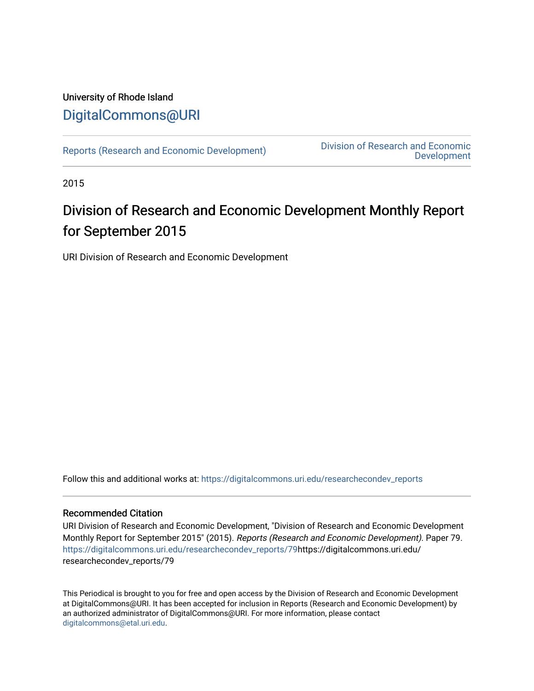# University of Rhode Island [DigitalCommons@URI](https://digitalcommons.uri.edu/)

[Reports \(Research and Economic Development\)](https://digitalcommons.uri.edu/researchecondev_reports) Division of Research and Economic [Development](https://digitalcommons.uri.edu/researchecondev) 

2015

# Division of Research and Economic Development Monthly Report for September 2015

URI Division of Research and Economic Development

Follow this and additional works at: [https://digitalcommons.uri.edu/researchecondev\\_reports](https://digitalcommons.uri.edu/researchecondev_reports?utm_source=digitalcommons.uri.edu%2Fresearchecondev_reports%2F79&utm_medium=PDF&utm_campaign=PDFCoverPages) 

### Recommended Citation

URI Division of Research and Economic Development, "Division of Research and Economic Development Monthly Report for September 2015" (2015). Reports (Research and Economic Development). Paper 79. [https://digitalcommons.uri.edu/researchecondev\\_reports/79](https://digitalcommons.uri.edu/researchecondev_reports/79?utm_source=digitalcommons.uri.edu%2Fresearchecondev_reports%2F79&utm_medium=PDF&utm_campaign=PDFCoverPages)https://digitalcommons.uri.edu/ researchecondev\_reports/79

This Periodical is brought to you for free and open access by the Division of Research and Economic Development at DigitalCommons@URI. It has been accepted for inclusion in Reports (Research and Economic Development) by an authorized administrator of DigitalCommons@URI. For more information, please contact [digitalcommons@etal.uri.edu](mailto:digitalcommons@etal.uri.edu).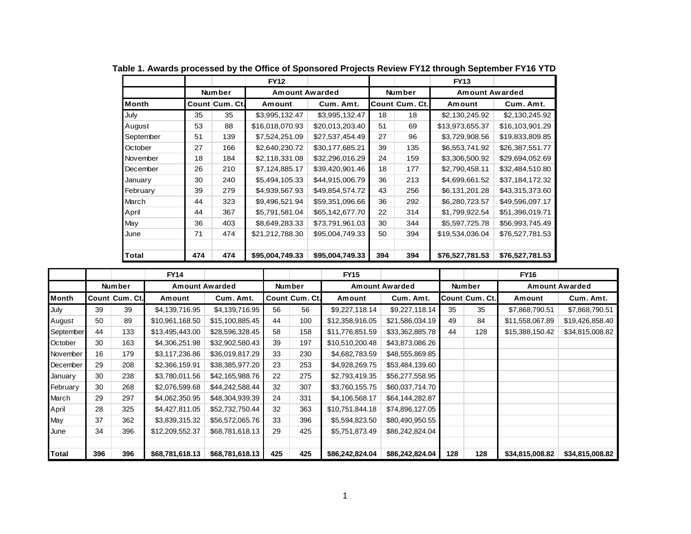|           |     |                | <b>FY12</b>     |                 |     |                | <b>FY13</b>           |                 |
|-----------|-----|----------------|-----------------|-----------------|-----|----------------|-----------------------|-----------------|
|           |     | Number         | Amount Awarded  |                 |     | <b>Number</b>  | <b>Amount Awarded</b> |                 |
| Month     |     | Count Cum. Ct. | Amount          | Cum. Amt.       |     | Count Cum. Ct. | Amount                | Cum. Amt.       |
| July      | 35  | 35             | \$3,995,132.47  | \$3,995,132.47  | 18  | 18             | \$2,130,245.92        | \$2,130,245.92  |
| August    | 53  | 88             | \$16,018,070.93 | \$20,013,203.40 | 51  | 69             | \$13,973,655.37       | \$16,103,901.29 |
| September | 51  | 139            | \$7,524,251.09  | \$27,537,454.49 | 27  | 96             | \$3,729,908.56        | \$19,833,809.85 |
| October   | 27  | 166            | \$2,640,230.72  | \$30,177,685.21 | 39  | 135            | \$6,553,741.92        | \$26,387,551.77 |
| November  | 18  | 184            | \$2,118,331.08  | \$32,296,016.29 | 24  | 159            | \$3,306,500.92        | \$29,694,052.69 |
| December  | 26  | 210            | \$7,124,885.17  | \$39,420,901.46 | 18  | 177            | \$2,790,458.11        | \$32,484,510.80 |
| January   | 30  | 240            | \$5,494,105.33  | \$44,915,006.79 | 36  | 213            | \$4,699,661.52        | \$37,184,172.32 |
| February  | 39  | 279            | \$4,939,567.93  | \$49,854,574.72 | 43  | 256            | \$6,131,201.28        | \$43,315,373.60 |
| March     | 44  | 323            | \$9,496,521.94  | \$59,351,096.66 | 36  | 292            | \$6,280,723.57        | \$49,596,097.17 |
| April     | 44  | 367            | \$5,791,581.04  | \$65,142,677.70 | 22  | 314            | \$1,799,922.54        | \$51,396,019.71 |
| May       | 36  | 403            | \$8,649,283.33  | \$73,791,961.03 | 30  | 344            | \$5,597,725.78        | \$56,993,745.49 |
| June      | 71  | 474            | \$21,212,788.30 | \$95,004,749.33 | 50  | 394            | \$19,534,036.04       | \$76,527,781.53 |
| Total     | 474 | 474            | \$95,004,749.33 | \$95,004,749.33 | 394 | 394            | \$76,527,781.53       | \$76,527,781.53 |

**Table 1. Awards processed by the Office of Sponsored Projects Review FY12 through September FY16 YTD**

|           |     |                | <b>FY14</b>           |                 |     |                | <b>FY15</b>     |                       |     |                | <b>FY16</b>     |                       |
|-----------|-----|----------------|-----------------------|-----------------|-----|----------------|-----------------|-----------------------|-----|----------------|-----------------|-----------------------|
|           |     | Number         | <b>Amount Awarded</b> |                 |     | <b>Number</b>  |                 | <b>Amount Awarded</b> |     | Number         |                 | <b>Amount Awarded</b> |
| Month     |     | Count Cum. Ct. | Amount                | Cum. Amt.       |     | Count Cum. Ct. | Amount          | Cum. Amt.             |     | Count Cum. Ct. | Amount          | Cum. Amt.             |
| July      | 39  | 39             | \$4,139,716.95        | \$4,139,716.95  | 56  | 56             | \$9,227,118.14  | \$9,227,118.14        | 35  | 35             | \$7,868,790.51  | \$7,868,790.51        |
| August    | 50  | 89             | \$10,961,168.50       | \$15,100,885.45 | 44  | 100            | \$12,358,916.05 | \$21,586,034.19       | 49  | 84             | \$11,558,067.89 | \$19,426,858.40       |
| September | 44  | 133            | \$13,495,443.00       | \$28,596,328.45 | 58  | 158            | \$11,776,851.59 | \$33,362,885.78       | 44  | 128            | \$15,388,150.42 | \$34,815,008.82       |
| October   | 30  | 163            | \$4,306,251.98        | \$32,902,580.43 | 39  | 197            | \$10,510,200.48 | \$43,873,086.26       |     |                |                 |                       |
| November  | 16  | 179            | \$3,117,236.86        | \$36,019,817.29 | 33  | 230            | \$4,682,783.59  | \$48,555,869.85       |     |                |                 |                       |
| December  | 29  | 208            | \$2,366,159.91        | \$38,385,977.20 | 23  | 253            | \$4,928,269.75  | \$53,484,139.60       |     |                |                 |                       |
| January   | 30  | 238            | \$3,780,011.56        | \$42,165,988.76 | 22  | 275            | \$2,793,419.35  | \$56,277,558.95       |     |                |                 |                       |
| February  | 30  | 268            | \$2,076,599.68        | \$44,242,588.44 | 32  | 307            | \$3,760,155.75  | \$60,037,714.70       |     |                |                 |                       |
| March     | 29  | 297            | \$4,062,350.95        | \$48,304,939.39 | 24  | 331            | \$4,106,568.17  | \$64,144,282.87       |     |                |                 |                       |
| April     | 28  | 325            | \$4,427,811.05        | \$52,732,750.44 | 32  | 363            | \$10,751,844.18 | \$74,896,127.05       |     |                |                 |                       |
| May       | 37  | 362            | \$3,839,315.32        | \$56,572,065.76 | 33  | 396            | \$5,594,823.50  | \$80,490,950.55       |     |                |                 |                       |
| June      | 34  | 396            | \$12,209,552.37       | \$68,781,618.13 | 29  | 425            | \$5,751,873.49  | \$86,242,824.04       |     |                |                 |                       |
|           |     |                |                       |                 |     |                |                 |                       |     |                |                 |                       |
| Total     | 396 | 396            | \$68,781,618.13       | \$68,781,618.13 | 425 | 425            | \$86,242,824.04 | \$86,242,824.04       | 128 | 128            | \$34,815,008.82 | \$34,815,008.82       |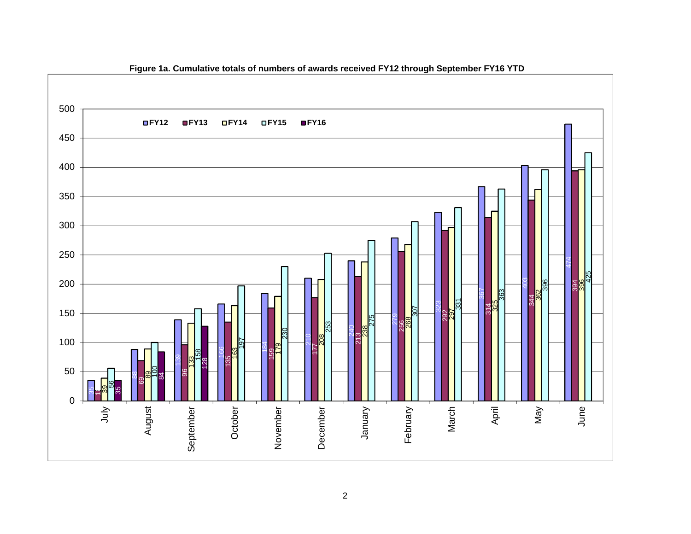

**Figure 1a. Cumulative totals of numbers of awards received FY12 through September FY16 YTD**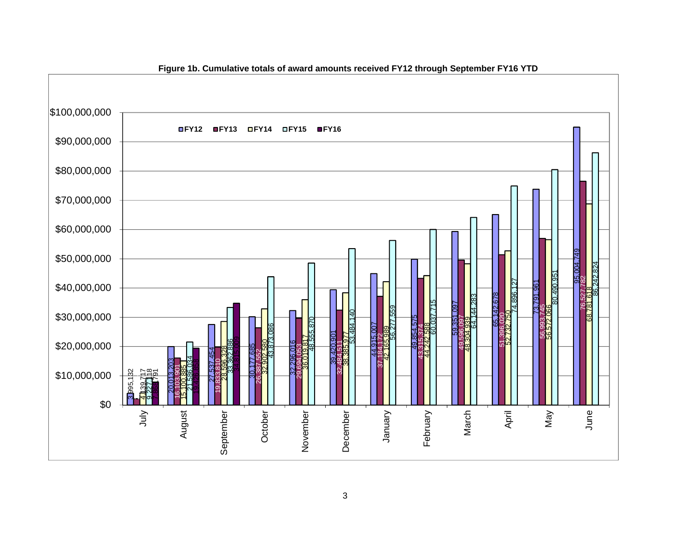

### **Figure 1b. Cumulative totals of award amounts received FY12 through September FY16 YTD**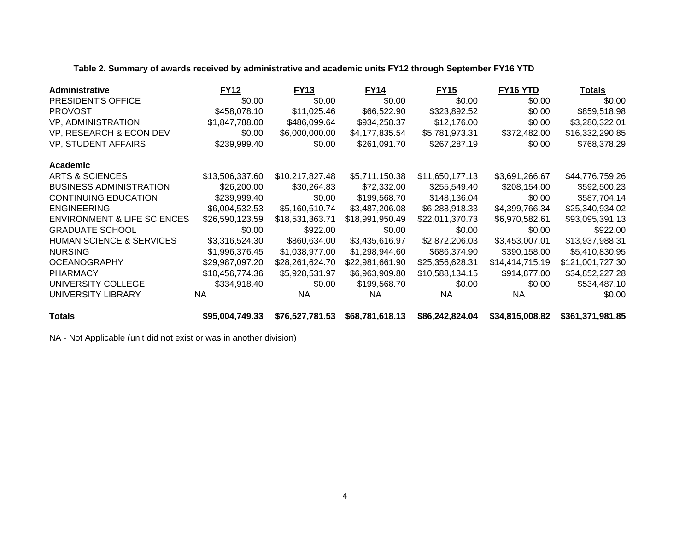**Table 2. Summary of awards received by administrative and academic units FY12 through September FY16 YTD**

| Administrative                         | <b>FY12</b>     | <b>FY13</b>     | <b>FY14</b>     | <b>FY15</b>     | FY16 YTD        | <b>Totals</b>    |
|----------------------------------------|-----------------|-----------------|-----------------|-----------------|-----------------|------------------|
| <b>PRESIDENT'S OFFICE</b>              | \$0.00          | \$0.00          | \$0.00          | \$0.00          | \$0.00          | \$0.00           |
| <b>PROVOST</b>                         | \$458,078.10    | \$11,025.46     | \$66,522.90     | \$323,892.52    | \$0.00          | \$859,518.98     |
| <b>VP, ADMINISTRATION</b>              | \$1,847,788.00  | \$486,099.64    | \$934,258.37    | \$12,176.00     | \$0.00          | \$3,280,322.01   |
| VP, RESEARCH & ECON DEV                | \$0.00          | \$6,000,000.00  | \$4,177,835.54  | \$5,781,973.31  | \$372,482.00    | \$16,332,290.85  |
| VP, STUDENT AFFAIRS                    | \$239,999.40    | \$0.00          | \$261,091.70    | \$267,287.19    | \$0.00          | \$768,378.29     |
| <b>Academic</b>                        |                 |                 |                 |                 |                 |                  |
| ARTS & SCIENCES                        | \$13,506,337.60 | \$10,217,827.48 | \$5,711,150.38  | \$11,650,177.13 | \$3,691,266.67  | \$44,776,759.26  |
| <b>BUSINESS ADMINISTRATION</b>         | \$26,200.00     | \$30,264.83     | \$72,332.00     | \$255,549.40    | \$208,154.00    | \$592,500.23     |
| <b>CONTINUING EDUCATION</b>            | \$239,999.40    | \$0.00          | \$199,568.70    | \$148,136.04    | \$0.00          | \$587,704.14     |
| <b>ENGINEERING</b>                     | \$6,004,532.53  | \$5,160,510.74  | \$3,487,206.08  | \$6,288,918.33  | \$4,399,766.34  | \$25,340,934.02  |
| <b>ENVIRONMENT &amp; LIFE SCIENCES</b> | \$26,590,123.59 | \$18,531,363.71 | \$18,991,950.49 | \$22,011,370.73 | \$6,970,582.61  | \$93,095,391.13  |
| <b>GRADUATE SCHOOL</b>                 | \$0.00          | \$922.00        | \$0.00          | \$0.00          | \$0.00          | \$922.00         |
| HUMAN SCIENCE & SERVICES               | \$3,316,524.30  | \$860,634.00    | \$3,435,616.97  | \$2,872,206.03  | \$3,453,007.01  | \$13,937,988.31  |
| <b>NURSING</b>                         | \$1,996,376.45  | \$1,038,977.00  | \$1,298,944.60  | \$686,374.90    | \$390,158.00    | \$5,410,830.95   |
| <b>OCEANOGRAPHY</b>                    | \$29,987,097.20 | \$28,261,624.70 | \$22,981,661.90 | \$25,356,628.31 | \$14,414,715.19 | \$121,001,727.30 |
| <b>PHARMACY</b>                        | \$10,456,774.36 | \$5,928,531.97  | \$6,963,909.80  | \$10,588,134.15 | \$914,877.00    | \$34,852,227.28  |
| UNIVERSITY COLLEGE                     | \$334,918.40    | \$0.00          | \$199,568.70    | \$0.00          | \$0.00          | \$534,487.10     |
| UNIVERSITY LIBRARY                     | <b>NA</b>       | NA.             | NA.             | <b>NA</b>       | <b>NA</b>       | \$0.00           |
| <b>Totals</b>                          | \$95,004,749.33 | \$76,527,781.53 | \$68,781,618.13 | \$86,242,824.04 | \$34,815,008.82 | \$361,371,981.85 |

NA - Not Applicable (unit did not exist or was in another division)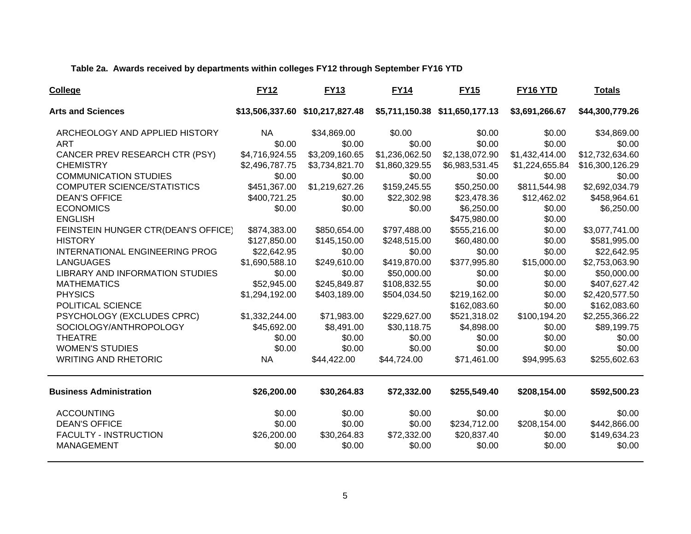**Table 2a. Awards received by departments within colleges FY12 through September FY16 YTD**

| College                                | <b>FY12</b>    | <b>FY13</b>                     | <b>FY14</b>    | <b>FY15</b>                    | FY16 YTD       | <b>Totals</b>   |
|----------------------------------------|----------------|---------------------------------|----------------|--------------------------------|----------------|-----------------|
| <b>Arts and Sciences</b>               |                | \$13,506,337.60 \$10,217,827.48 |                | \$5,711,150.38 \$11,650,177.13 | \$3,691,266.67 | \$44,300,779.26 |
| ARCHEOLOGY AND APPLIED HISTORY         | <b>NA</b>      | \$34,869.00                     | \$0.00         | \$0.00                         | \$0.00         | \$34,869.00     |
| <b>ART</b>                             | \$0.00         | \$0.00                          | \$0.00         | \$0.00                         | \$0.00         | \$0.00          |
| CANCER PREV RESEARCH CTR (PSY)         | \$4,716,924.55 | \$3,209,160.65                  | \$1,236,062.50 | \$2,138,072.90                 | \$1,432,414.00 | \$12,732,634.60 |
| <b>CHEMISTRY</b>                       | \$2,496,787.75 | \$3,734,821.70                  | \$1,860,329.55 | \$6,983,531.45                 | \$1,224,655.84 | \$16,300,126.29 |
| <b>COMMUNICATION STUDIES</b>           | \$0.00         | \$0.00                          | \$0.00         | \$0.00                         | \$0.00         | \$0.00          |
| <b>COMPUTER SCIENCE/STATISTICS</b>     | \$451,367.00   | \$1,219,627.26                  | \$159,245.55   | \$50,250.00                    | \$811,544.98   | \$2,692,034.79  |
| <b>DEAN'S OFFICE</b>                   | \$400,721.25   | \$0.00                          | \$22,302.98    | \$23,478.36                    | \$12,462.02    | \$458,964.61    |
| <b>ECONOMICS</b>                       | \$0.00         | \$0.00                          | \$0.00         | \$6,250.00                     | \$0.00         | \$6,250.00      |
| <b>ENGLISH</b>                         |                |                                 |                | \$475,980.00                   | \$0.00         |                 |
| FEINSTEIN HUNGER CTR(DEAN'S OFFICE)    | \$874,383.00   | \$850,654.00                    | \$797,488.00   | \$555,216.00                   | \$0.00         | \$3,077,741.00  |
| <b>HISTORY</b>                         | \$127,850.00   | \$145,150.00                    | \$248,515.00   | \$60,480.00                    | \$0.00         | \$581,995.00    |
| INTERNATIONAL ENGINEERING PROG         | \$22,642.95    | \$0.00                          | \$0.00         | \$0.00                         | \$0.00         | \$22,642.95     |
| <b>LANGUAGES</b>                       | \$1,690,588.10 | \$249,610.00                    | \$419,870.00   | \$377,995.80                   | \$15,000.00    | \$2,753,063.90  |
| <b>LIBRARY AND INFORMATION STUDIES</b> | \$0.00         | \$0.00                          | \$50,000.00    | \$0.00                         | \$0.00         | \$50,000.00     |
| <b>MATHEMATICS</b>                     | \$52,945.00    | \$245,849.87                    | \$108,832.55   | \$0.00                         | \$0.00         | \$407,627.42    |
| <b>PHYSICS</b>                         | \$1,294,192.00 | \$403,189.00                    | \$504,034.50   | \$219,162.00                   | \$0.00         | \$2,420,577.50  |
| POLITICAL SCIENCE                      |                |                                 |                | \$162,083.60                   | \$0.00         | \$162,083.60    |
| PSYCHOLOGY (EXCLUDES CPRC)             | \$1,332,244.00 | \$71,983.00                     | \$229,627.00   | \$521,318.02                   | \$100,194.20   | \$2,255,366.22  |
| SOCIOLOGY/ANTHROPOLOGY                 | \$45,692.00    | \$8,491.00                      | \$30,118.75    | \$4,898.00                     | \$0.00         | \$89,199.75     |
| <b>THEATRE</b>                         | \$0.00         | \$0.00                          | \$0.00         | \$0.00                         | \$0.00         | \$0.00          |
| <b>WOMEN'S STUDIES</b>                 | \$0.00         | \$0.00                          | \$0.00         | \$0.00                         | \$0.00         | \$0.00          |
| <b>WRITING AND RHETORIC</b>            | <b>NA</b>      | \$44,422.00                     | \$44,724.00    | \$71,461.00                    | \$94,995.63    | \$255,602.63    |
| <b>Business Administration</b>         | \$26,200.00    | \$30,264.83                     | \$72,332.00    | \$255,549.40                   | \$208,154.00   | \$592,500.23    |
| <b>ACCOUNTING</b>                      | \$0.00         | \$0.00                          | \$0.00         | \$0.00                         | \$0.00         | \$0.00          |
| <b>DEAN'S OFFICE</b>                   | \$0.00         | \$0.00                          | \$0.00         | \$234,712.00                   | \$208,154.00   | \$442,866.00    |
| <b>FACULTY - INSTRUCTION</b>           | \$26,200.00    | \$30,264.83                     | \$72,332.00    | \$20,837.40                    | \$0.00         | \$149,634.23    |
| MANAGEMENT                             | \$0.00         | \$0.00                          | \$0.00         | \$0.00                         | \$0.00         | \$0.00          |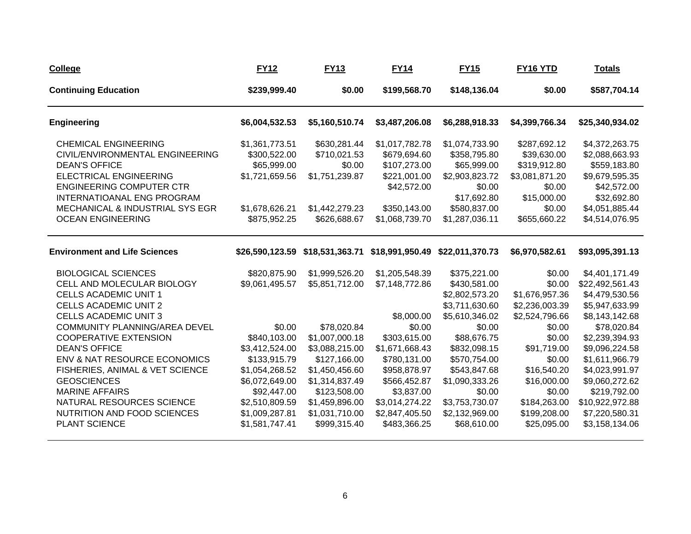| <b>College</b>                                                                                                                                                                                                                                                                              | <b>FY12</b>                                                                                                                                                       | <b>FY13</b>                                                                                                                                                             | <b>FY14</b>                                                                                                                                                | <b>FY15</b>                                                                                                                                          | <b>FY16 YTD</b>                                                                                                                  | <b>Totals</b>                                                                                                                                                                |
|---------------------------------------------------------------------------------------------------------------------------------------------------------------------------------------------------------------------------------------------------------------------------------------------|-------------------------------------------------------------------------------------------------------------------------------------------------------------------|-------------------------------------------------------------------------------------------------------------------------------------------------------------------------|------------------------------------------------------------------------------------------------------------------------------------------------------------|------------------------------------------------------------------------------------------------------------------------------------------------------|----------------------------------------------------------------------------------------------------------------------------------|------------------------------------------------------------------------------------------------------------------------------------------------------------------------------|
| <b>Continuing Education</b>                                                                                                                                                                                                                                                                 | \$239,999.40                                                                                                                                                      | \$0.00                                                                                                                                                                  | \$199,568.70                                                                                                                                               | \$148,136.04                                                                                                                                         | \$0.00                                                                                                                           | \$587,704.14                                                                                                                                                                 |
| <b>Engineering</b>                                                                                                                                                                                                                                                                          | \$6,004,532.53                                                                                                                                                    | \$5,160,510.74                                                                                                                                                          | \$3,487,206.08                                                                                                                                             | \$6,288,918.33                                                                                                                                       | \$4,399,766.34                                                                                                                   | \$25,340,934.02                                                                                                                                                              |
| <b>CHEMICAL ENGINEERING</b><br>CIVIL/ENVIRONMENTAL ENGINEERING<br><b>DEAN'S OFFICE</b><br><b>ELECTRICAL ENGINEERING</b><br><b>ENGINEERING COMPUTER CTR</b><br>INTERNATIOANAL ENG PROGRAM<br>MECHANICAL & INDUSTRIAL SYS EGR<br><b>OCEAN ENGINEERING</b>                                     | \$1,361,773.51<br>\$300,522.00<br>\$65,999.00<br>\$1,721,659.56<br>\$1,678,626.21<br>\$875,952.25                                                                 | \$630,281.44<br>\$710,021.53<br>\$0.00<br>\$1,751,239.87<br>\$1,442,279.23<br>\$626,688.67                                                                              | \$1,017,782.78<br>\$679,694.60<br>\$107,273.00<br>\$221,001.00<br>\$42,572.00<br>\$350,143.00<br>\$1,068,739.70                                            | \$1,074,733.90<br>\$358,795.80<br>\$65,999.00<br>\$2,903,823.72<br>\$0.00<br>\$17,692.80<br>\$580,837.00<br>\$1,287,036.11                           | \$287,692.12<br>\$39,630.00<br>\$319,912.80<br>\$3,081,871.20<br>\$0.00<br>\$15,000.00<br>\$0.00<br>\$655,660.22                 | \$4,372,263.75<br>\$2,088,663.93<br>\$559,183.80<br>\$9,679,595.35<br>\$42,572.00<br>\$32,692.80<br>\$4,051,885.44<br>\$4,514,076.95                                         |
| <b>Environment and Life Sciences</b>                                                                                                                                                                                                                                                        | \$26,590,123.59                                                                                                                                                   | \$18,531,363.71                                                                                                                                                         | \$18,991,950.49                                                                                                                                            | \$22,011,370.73                                                                                                                                      | \$6,970,582.61                                                                                                                   | \$93,095,391.13                                                                                                                                                              |
| <b>BIOLOGICAL SCIENCES</b><br>CELL AND MOLECULAR BIOLOGY<br><b>CELLS ACADEMIC UNIT 1</b><br><b>CELLS ACADEMIC UNIT 2</b><br><b>CELLS ACADEMIC UNIT 3</b>                                                                                                                                    | \$820,875.90<br>\$9,061,495.57                                                                                                                                    | \$1,999,526.20<br>\$5,851,712.00                                                                                                                                        | \$1,205,548.39<br>\$7,148,772.86<br>\$8,000.00                                                                                                             | \$375,221.00<br>\$430,581.00<br>\$2,802,573.20<br>\$3,711,630.60<br>\$5,610,346.02                                                                   | \$0.00<br>\$0.00<br>\$1,676,957.36<br>\$2,236,003.39<br>\$2,524,796.66                                                           | \$4,401,171.49<br>\$22,492,561.43<br>\$4,479,530.56<br>\$5,947,633.99<br>\$8,143,142.68                                                                                      |
| <b>COMMUNITY PLANNING/AREA DEVEL</b><br><b>COOPERATIVE EXTENSION</b><br><b>DEAN'S OFFICE</b><br>ENV & NAT RESOURCE ECONOMICS<br>FISHERIES, ANIMAL & VET SCIENCE<br><b>GEOSCIENCES</b><br><b>MARINE AFFAIRS</b><br>NATURAL RESOURCES SCIENCE<br>NUTRITION AND FOOD SCIENCES<br>PLANT SCIENCE | \$0.00<br>\$840,103.00<br>\$3,412,524.00<br>\$133,915.79<br>\$1,054,268.52<br>\$6,072,649.00<br>\$92,447.00<br>\$2,510,809.59<br>\$1,009,287.81<br>\$1,581,747.41 | \$78,020.84<br>\$1,007,000.18<br>\$3,088,215.00<br>\$127,166.00<br>\$1,450,456.60<br>\$1,314,837.49<br>\$123,508.00<br>\$1,459,896.00<br>\$1,031,710.00<br>\$999,315.40 | \$0.00<br>\$303,615.00<br>\$1,671,668.43<br>\$780,131.00<br>\$958,878.97<br>\$566,452.87<br>\$3,837.00<br>\$3,014,274.22<br>\$2,847,405.50<br>\$483,366.25 | \$0.00<br>\$88,676.75<br>\$832,098.15<br>\$570,754.00<br>\$543,847.68<br>\$1,090,333.26<br>\$0.00<br>\$3,753,730.07<br>\$2,132,969.00<br>\$68,610.00 | \$0.00<br>\$0.00<br>\$91,719.00<br>\$0.00<br>\$16,540.20<br>\$16,000.00<br>\$0.00<br>\$184,263.00<br>\$199,208.00<br>\$25,095.00 | \$78,020.84<br>\$2,239,394.93<br>\$9,096,224.58<br>\$1,611,966.79<br>\$4,023,991.97<br>\$9,060,272.62<br>\$219,792.00<br>\$10,922,972.88<br>\$7,220,580.31<br>\$3,158,134.06 |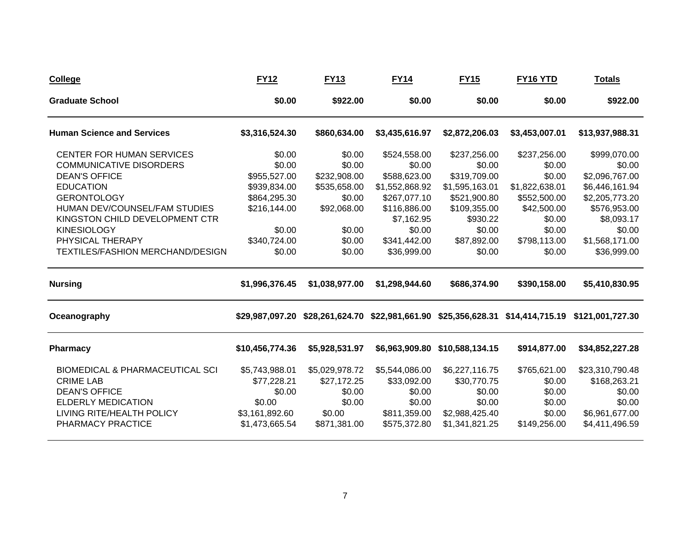| <b>College</b>                             | <b>FY12</b>     | <b>FY13</b>    | <b>FY14</b>                                     | <b>FY15</b>                    | FY <sub>16</sub> YTD | <b>Totals</b>    |
|--------------------------------------------|-----------------|----------------|-------------------------------------------------|--------------------------------|----------------------|------------------|
| <b>Graduate School</b>                     | \$0.00          | \$922.00       | \$0.00                                          | \$0.00                         | \$0.00               | \$922.00         |
| <b>Human Science and Services</b>          | \$3,316,524.30  | \$860,634.00   | \$3,435,616.97                                  | \$2,872,206.03                 | \$3,453,007.01       | \$13,937,988.31  |
| <b>CENTER FOR HUMAN SERVICES</b>           | \$0.00          | \$0.00         | \$524,558.00                                    | \$237,256.00                   | \$237,256.00         | \$999,070.00     |
| <b>COMMUNICATIVE DISORDERS</b>             | \$0.00          | \$0.00         | \$0.00                                          | \$0.00                         | \$0.00               | \$0.00           |
| <b>DEAN'S OFFICE</b>                       | \$955,527.00    | \$232,908.00   | \$588,623.00                                    | \$319,709.00                   | \$0.00               | \$2,096,767.00   |
| <b>EDUCATION</b>                           | \$939,834.00    | \$535,658.00   | \$1,552,868.92                                  | \$1,595,163.01                 | \$1,822,638.01       | \$6,446,161.94   |
| <b>GERONTOLOGY</b>                         | \$864,295.30    | \$0.00         | \$267,077.10                                    | \$521,900.80                   | \$552,500.00         | \$2,205,773.20   |
| HUMAN DEV/COUNSEL/FAM STUDIES              | \$216,144.00    | \$92,068.00    | \$116,886.00                                    | \$109,355.00                   | \$42,500.00          | \$576,953.00     |
| KINGSTON CHILD DEVELOPMENT CTR             |                 |                | \$7,162.95                                      | \$930.22                       | \$0.00               | \$8,093.17       |
| <b>KINESIOLOGY</b>                         | \$0.00          | \$0.00         | \$0.00                                          | \$0.00                         | \$0.00               | \$0.00           |
| PHYSICAL THERAPY                           | \$340,724.00    | \$0.00         | \$341,442.00                                    | \$87,892.00                    | \$798,113.00         | \$1,568,171.00   |
| TEXTILES/FASHION MERCHAND/DESIGN           | \$0.00          | \$0.00         | \$36,999.00                                     | \$0.00                         | \$0.00               | \$36,999.00      |
| <b>Nursing</b>                             | \$1,996,376.45  | \$1,038,977.00 | \$1,298,944.60                                  | \$686,374.90                   | \$390,158.00         | \$5,410,830.95   |
| Oceanography                               | \$29,987,097.20 |                | \$28,261,624.70 \$22,981,661.90 \$25,356,628.31 |                                | \$14,414,715.19      | \$121,001,727.30 |
| <b>Pharmacy</b>                            | \$10,456,774.36 | \$5,928,531.97 |                                                 | \$6,963,909.80 \$10,588,134.15 | \$914,877.00         | \$34,852,227.28  |
| <b>BIOMEDICAL &amp; PHARMACEUTICAL SCI</b> | \$5,743,988.01  | \$5,029,978.72 | \$5,544,086.00                                  | \$6,227,116.75                 | \$765,621.00         | \$23,310,790.48  |
| <b>CRIME LAB</b>                           | \$77,228.21     | \$27,172.25    | \$33,092.00                                     | \$30,770.75                    | \$0.00               | \$168,263.21     |
| <b>DEAN'S OFFICE</b>                       | \$0.00          | \$0.00         | \$0.00                                          | \$0.00                         | \$0.00               | \$0.00           |
| <b>ELDERLY MEDICATION</b>                  | \$0.00          | \$0.00         | \$0.00                                          | \$0.00                         | \$0.00               | \$0.00           |
| LIVING RITE/HEALTH POLICY                  | \$3,161,892.60  | \$0.00         | \$811,359.00                                    | \$2,988,425.40                 | \$0.00               | \$6,961,677.00   |
| PHARMACY PRACTICE                          | \$1,473,665.54  | \$871,381.00   | \$575,372.80                                    | \$1,341,821.25                 | \$149,256.00         | \$4,411,496.59   |
|                                            |                 |                |                                                 |                                |                      |                  |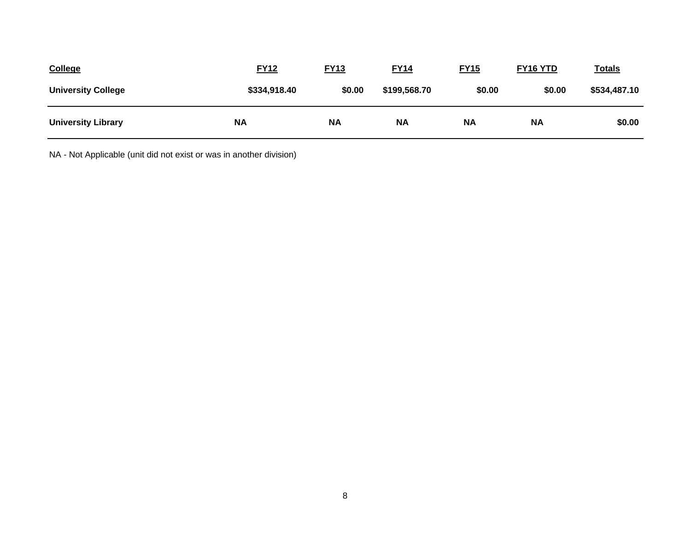| <b>College</b>            | <b>FY12</b>  | <b>FY13</b> | <b>FY14</b>  | <b>FY15</b> | FY16 YTD  | <u>Totals</u> |
|---------------------------|--------------|-------------|--------------|-------------|-----------|---------------|
| <b>University College</b> | \$334,918.40 | \$0.00      | \$199,568.70 | \$0.00      | \$0.00    | \$534,487.10  |
| <b>University Library</b> | <b>NA</b>    | <b>NA</b>   | <b>NA</b>    | <b>NA</b>   | <b>NA</b> | \$0.00        |

NA - Not Applicable (unit did not exist or was in another division)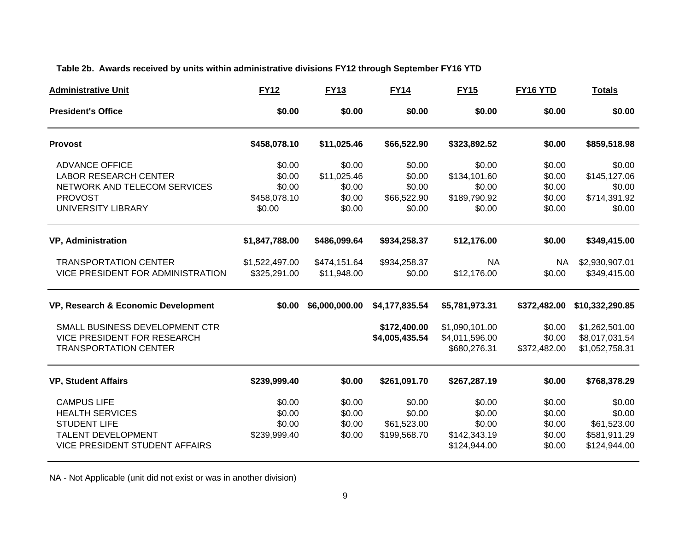# **Table 2b. Awards received by units within administrative divisions FY12 through September FY16 YTD**

| <b>Administrative Unit</b>                                                                                                                | <b>FY12</b>                                | <b>FY13</b>                               | <b>FY14</b>                                     | <b>FY15</b>                                                | FY16 YTD                                       | <b>Totals</b>                                                   |
|-------------------------------------------------------------------------------------------------------------------------------------------|--------------------------------------------|-------------------------------------------|-------------------------------------------------|------------------------------------------------------------|------------------------------------------------|-----------------------------------------------------------------|
| <b>President's Office</b>                                                                                                                 | \$0.00                                     | \$0.00                                    | \$0.00                                          | \$0.00                                                     | \$0.00                                         | \$0.00                                                          |
| <b>Provost</b>                                                                                                                            | \$458,078.10                               | \$11,025.46                               | \$66,522.90                                     | \$323,892.52                                               | \$0.00                                         | \$859,518.98                                                    |
| <b>ADVANCE OFFICE</b><br><b>LABOR RESEARCH CENTER</b><br>NETWORK AND TELECOM SERVICES<br><b>PROVOST</b>                                   | \$0.00<br>\$0.00<br>\$0.00<br>\$458,078.10 | \$0.00<br>\$11,025.46<br>\$0.00<br>\$0.00 | \$0.00<br>\$0.00<br>\$0.00<br>\$66,522.90       | \$0.00<br>\$134,101.60<br>\$0.00<br>\$189,790.92           | \$0.00<br>\$0.00<br>\$0.00<br>\$0.00           | \$0.00<br>\$145,127.06<br>\$0.00<br>\$714,391.92                |
| UNIVERSITY LIBRARY                                                                                                                        | \$0.00                                     | \$0.00                                    | \$0.00                                          | \$0.00                                                     | \$0.00                                         | \$0.00                                                          |
| <b>VP, Administration</b>                                                                                                                 | \$1,847,788.00                             | \$486,099.64                              | \$934,258.37                                    | \$12,176.00                                                | \$0.00                                         | \$349,415.00                                                    |
| <b>TRANSPORTATION CENTER</b><br>VICE PRESIDENT FOR ADMINISTRATION                                                                         | \$1,522,497.00<br>\$325,291.00             | \$474,151.64<br>\$11,948.00               | \$934,258.37<br>\$0.00                          | <b>NA</b><br>\$12,176.00                                   | <b>NA</b><br>\$0.00                            | \$2,930,907.01<br>\$349,415.00                                  |
| VP, Research & Economic Development                                                                                                       | \$0.00                                     | \$6,000,000.00                            | \$4,177,835.54                                  | \$5,781,973.31                                             | \$372,482.00                                   | \$10,332,290.85                                                 |
| SMALL BUSINESS DEVELOPMENT CTR<br><b>VICE PRESIDENT FOR RESEARCH</b><br><b>TRANSPORTATION CENTER</b>                                      |                                            |                                           | \$172,400.00<br>\$4,005,435.54                  | \$1,090,101.00<br>\$4,011,596.00<br>\$680,276.31           | \$0.00<br>\$0.00<br>\$372,482.00               | \$1,262,501.00<br>\$8,017,031.54<br>\$1,052,758.31              |
| <b>VP, Student Affairs</b>                                                                                                                | \$239,999.40                               | \$0.00                                    | \$261,091.70                                    | \$267,287.19                                               | \$0.00                                         | \$768,378.29                                                    |
| <b>CAMPUS LIFE</b><br><b>HEALTH SERVICES</b><br><b>STUDENT LIFE</b><br><b>TALENT DEVELOPMENT</b><br><b>VICE PRESIDENT STUDENT AFFAIRS</b> | \$0.00<br>\$0.00<br>\$0.00<br>\$239,999.40 | \$0.00<br>\$0.00<br>\$0.00<br>\$0.00      | \$0.00<br>\$0.00<br>\$61,523.00<br>\$199,568.70 | \$0.00<br>\$0.00<br>\$0.00<br>\$142,343.19<br>\$124,944.00 | \$0.00<br>\$0.00<br>\$0.00<br>\$0.00<br>\$0.00 | \$0.00<br>\$0.00<br>\$61,523.00<br>\$581,911.29<br>\$124,944.00 |

NA - Not Applicable (unit did not exist or was in another division)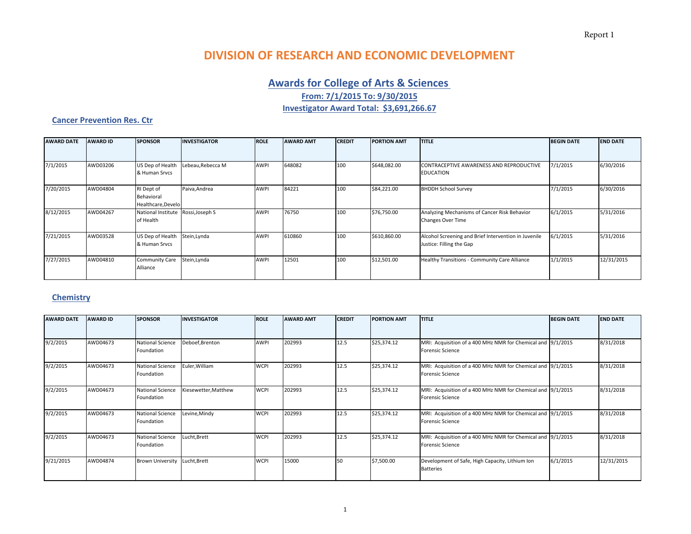# **DIVISION OF RESEARCH AND ECONOMIC DEVELOPMENT**

# **Awards for College of Arts & Sciences**

**From: 7/1/2015 To: 9/30/2015**

**Investigator Award Total: \$3,691,266.67**

#### **Cancer Prevention Res. Ctr**

| <b>AWARD DATE</b> | <b>AWARD ID</b> | <b>SPONSOR</b>                                  | <b>INVESTIGATOR</b> | <b>ROLE</b> | <b>AWARD AMT</b> | <b>CREDIT</b> | <b>PORTION AMT</b> | <b>TITLE</b>                                                                     | <b>BEGIN DATE</b> | <b>END DATE</b> |
|-------------------|-----------------|-------------------------------------------------|---------------------|-------------|------------------|---------------|--------------------|----------------------------------------------------------------------------------|-------------------|-----------------|
|                   |                 |                                                 |                     |             |                  |               |                    |                                                                                  |                   |                 |
| 7/1/2015          | AWD03206        | US Dep of Health<br>& Human Srvcs               | Lebeau,Rebecca M    | <b>AWPI</b> | 648082           | 100           | \$648,082.00       | CONTRACEPTIVE AWARENESS AND REPRODUCTIVE<br><b>EDUCATION</b>                     | 7/1/2015          | 6/30/2016       |
| 7/20/2015         | AWD04804        | RI Dept of<br>Behavioral<br>Healthcare, Develo  | Paiva, Andrea       | AWPI        | 84221            | 100           | \$84,221.00        | <b>BHDDH School Survey</b>                                                       | 7/1/2015          | 6/30/2016       |
| 8/12/2015         | AWD04267        | National Institute Rossi, Joseph S<br>of Health |                     | AWPI        | 76750            | 100           | \$76,750.00        | Analyzing Mechanisms of Cancer Risk Behavior<br>Changes Over Time                | 6/1/2015          | 5/31/2016       |
| 7/21/2015         | AWD03528        | US Dep of Health<br>& Human Srvcs               | Stein, Lynda        | <b>AWPI</b> | 610860           | 100           | \$610,860.00       | Alcohol Screening and Brief Intervention in Juvenile<br>Justice: Filling the Gap | 6/1/2015          | 5/31/2016       |
| 7/27/2015         | AWD04810        | <b>Community Care</b><br>Alliance               | Stein, Lynda        | AWPI        | 12501            | 100           | \$12,501.00        | Healthy Transitions - Community Care Alliance                                    | 1/1/2015          | 12/31/2015      |

### **Chemistry**

| <b>AWARD DATE</b> | <b>AWARD ID</b> | <b>SPONSOR</b>                        | <b>INVESTIGATOR</b>  | <b>ROLE</b> | <b>AWARD AMT</b> | <b>CREDIT</b> | <b>PORTION AMT</b> | <b>TITLE</b>                                                                           | <b>BEGIN DATE</b> | <b>END DATE</b> |
|-------------------|-----------------|---------------------------------------|----------------------|-------------|------------------|---------------|--------------------|----------------------------------------------------------------------------------------|-------------------|-----------------|
|                   |                 |                                       |                      |             |                  |               |                    |                                                                                        |                   |                 |
| 9/2/2015          | AWD04673        | <b>National Science</b><br>Foundation | Deboef, Brenton      | <b>AWPI</b> | 202993           | 12.5          | \$25,374.12        | MRI: Acquisition of a 400 MHz NMR for Chemical and 9/1/2015<br><b>Forensic Science</b> |                   | 8/31/2018       |
| 9/2/2015          | AWD04673        | National Science<br>Foundation        | Euler, William       | <b>WCPI</b> | 202993           | 12.5          | \$25,374.12        | MRI: Acquisition of a 400 MHz NMR for Chemical and 9/1/2015<br><b>Forensic Science</b> |                   | 8/31/2018       |
| 9/2/2015          | AWD04673        | National Science<br>Foundation        | Kiesewetter, Matthew | <b>WCPI</b> | 202993           | 12.5          | \$25,374.12        | MRI: Acquisition of a 400 MHz NMR for Chemical and 9/1/2015<br><b>Forensic Science</b> |                   | 8/31/2018       |
| 9/2/2015          | AWD04673        | National Science<br>Foundation        | Levine, Mindy        | <b>WCPI</b> | 202993           | 12.5          | \$25,374.12        | MRI: Acquisition of a 400 MHz NMR for Chemical and 9/1/2015<br><b>Forensic Science</b> |                   | 8/31/2018       |
| 9/2/2015          | AWD04673        | <b>National Science</b><br>Foundation | Lucht, Brett         | <b>WCPI</b> | 202993           | 12.5          | \$25,374.12        | MRI: Acquisition of a 400 MHz NMR for Chemical and 9/1/2015<br><b>Forensic Science</b> |                   | 8/31/2018       |
| 9/21/2015         | AWD04874        | <b>Brown University</b>               | Lucht, Brett         | <b>WCPI</b> | 15000            | 50            | \$7,500.00         | Development of Safe, High Capacity, Lithium Ion<br><b>Batteries</b>                    | 6/1/2015          | 12/31/2015      |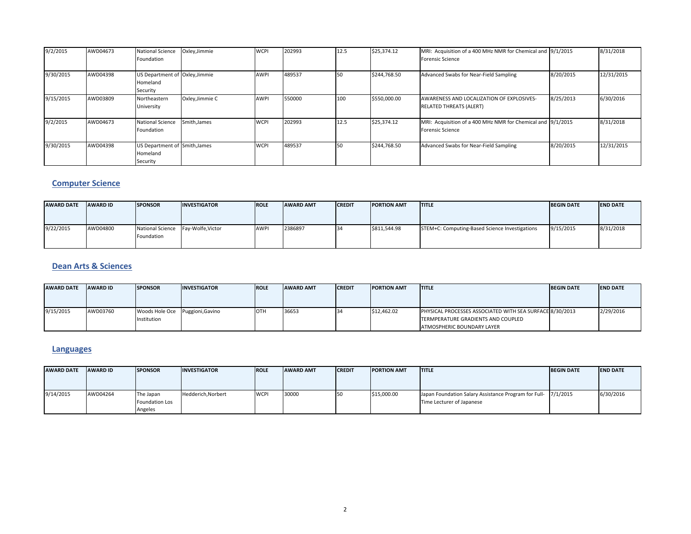| 9/2/2015  | AWD04673 | <b>National Science</b><br>Foundation                  | Oxley, Jimmie   | <b>WCPI</b> | 202993 | 12.5 | \$25,374.12  | MRI: Acquisition of a 400 MHz NMR for Chemical and 9/1/2015<br><b>Forensic Science</b> |           | 8/31/2018  |
|-----------|----------|--------------------------------------------------------|-----------------|-------------|--------|------|--------------|----------------------------------------------------------------------------------------|-----------|------------|
| 9/30/2015 | AWD04398 | US Department of Oxley, Jimmie<br>Homeland<br>Security |                 | <b>AWPI</b> | 489537 | 150  | \$244,768.50 | Advanced Swabs for Near-Field Sampling                                                 | 8/20/2015 | 12/31/2015 |
| 9/15/2015 | AWD03809 | Northeastern<br>University                             | Oxley, Jimmie C | <b>AWPI</b> | 550000 | 100  | \$550,000.00 | AWARENESS AND LOCALIZATION OF EXPLOSIVES-<br><b>RELATED THREATS (ALERT)</b>            | 8/25/2013 | 6/30/2016  |
| 9/2/2015  | AWD04673 | <b>National Science</b><br>Foundation                  | Smith, James    | <b>WCPI</b> | 202993 | 12.5 | \$25,374.12  | MRI: Acquisition of a 400 MHz NMR for Chemical and 9/1/2015<br><b>Forensic Science</b> |           | 8/31/2018  |
| 9/30/2015 | AWD04398 | US Department of Smith, James<br>Homeland<br>Security  |                 | <b>WCPI</b> | 489537 | 150  | \$244.768.50 | Advanced Swabs for Near-Field Sampling                                                 | 8/20/2015 | 12/31/2015 |

### **Computer Science**

| <b>AWARD DATE</b> | <b>AWARD ID</b> | <b>SPONSOR</b>                                   | <b>INVESTIGATOR</b> | <b>ROLE</b> | <b>AWARD AMT</b> | <b>CREDIT</b>   | <b>PORTION AMT</b> | <b>ITITLE</b>                                  | <b>BEGIN DATE</b> | <b>IEND DATE</b> |
|-------------------|-----------------|--------------------------------------------------|---------------------|-------------|------------------|-----------------|--------------------|------------------------------------------------|-------------------|------------------|
| 9/22/2015         | AWD04800        | National Science Fay-Wolfe, Victor<br>Foundation |                     | <b>AWP</b>  | 2386897          | 13 <sup>d</sup> | \$811,544.98       | STEM+C: Computing-Based Science Investigations | 9/15/2015         | 8/31/2018        |

#### **Dean Arts & Sciences**

| <b>AWARD DATE</b> | <b>AWARD ID</b> | <b>SPONSOR</b> | <b>INVESTIGATOR</b> | <b>ROLE</b> | <b>AWARD AMT</b> | <b>CREDIT</b> | <b>PORTION AMT</b> | <b>ITITLE</b>                                            | <b>BEGIN DATE</b> | <b>END DATE</b> |
|-------------------|-----------------|----------------|---------------------|-------------|------------------|---------------|--------------------|----------------------------------------------------------|-------------------|-----------------|
|                   |                 |                |                     |             |                  |               |                    |                                                          |                   |                 |
|                   |                 |                |                     |             |                  |               |                    |                                                          |                   |                 |
| 9/15/2015         | AWD03760        | Woods Hole Oce | Puggioni, Gavino    | <b>OTH</b>  | 36653            |               | \$12,462.02        | PHYSICAL PROCESSES ASSOCIATED WITH SEA SURFACE 8/30/2013 |                   | 2/29/2016       |
|                   |                 | Institution    |                     |             |                  |               |                    | TERMPERATURE GRADIENTS AND COUPLED                       |                   |                 |
|                   |                 |                |                     |             |                  |               |                    | ATMOSPHERIC BOUNDARY LAYER                               |                   |                 |

### **Languages**

| <b>AWARD DATE</b> | <b>AWARD ID</b> | <b>SPONSOR</b>        | <b>INVESTIGATOR</b> | <b>IROLE</b> | <b>AWARD AMT</b> | <b>CREDIT</b> | <b>PORTION AMT</b> | <b>ITITLE</b>                                                 | <b>BEGIN DATE</b> | <b>END DATE</b> |
|-------------------|-----------------|-----------------------|---------------------|--------------|------------------|---------------|--------------------|---------------------------------------------------------------|-------------------|-----------------|
|                   |                 |                       |                     |              |                  |               |                    |                                                               |                   |                 |
| 9/14/2015         | AWD04264        | The Japan             | Hedderich, Norbert  | <b>WCPI</b>  | 30000            |               | \$15,000.00        | Japan Foundation Salary Assistance Program for Full- 7/1/2015 |                   | 6/30/2016       |
|                   |                 | <b>Foundation Los</b> |                     |              |                  |               |                    | Time Lecturer of Japanese                                     |                   |                 |
|                   |                 | Angeles               |                     |              |                  |               |                    |                                                               |                   |                 |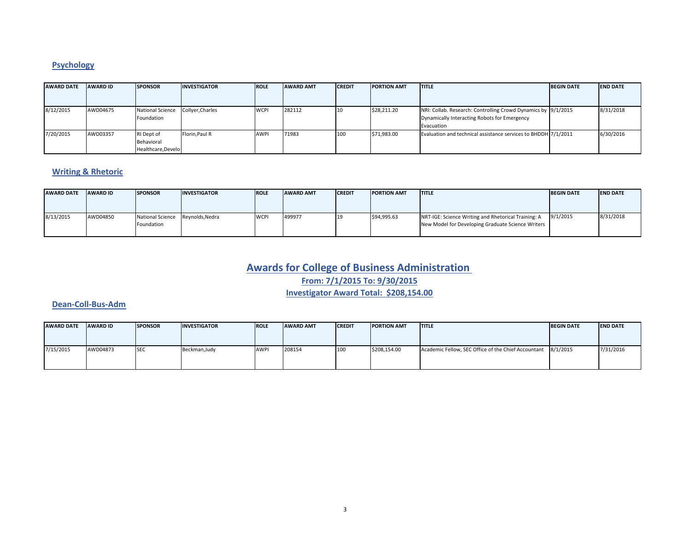# **Psychology**

| <b>AWARD DATE</b> | <b>AWARD ID</b> | <b>SPONSOR</b>                                 | <b>INVESTIGATOR</b> | <b>ROLE</b> | <b>AWARD AMT</b> | <b>CREDIT</b> | <b>PORTION AMT</b> | <b>ITITLE</b>                                                                                                               | <b>BEGIN DATE</b> | <b>END DATE</b> |
|-------------------|-----------------|------------------------------------------------|---------------------|-------------|------------------|---------------|--------------------|-----------------------------------------------------------------------------------------------------------------------------|-------------------|-----------------|
|                   |                 |                                                |                     |             |                  |               |                    |                                                                                                                             |                   |                 |
| 8/12/2015         | AWD04675        | <b>National Science</b><br>Foundation          | Collyer, Charles    | <b>WCPI</b> | 282112           | 110           | \$28,211.20        | NRI: Collab. Research: Controlling Crowd Dynamics by 9/1/2015<br>Dynamically Interacting Robots for Emergency<br>Evacuation |                   | 8/31/2018       |
| 7/20/2015         | AWD03357        | RI Dept of<br>Behavioral<br>Healthcare, Develo | Florin, Paul R      | <b>AWPI</b> | 71983            | 100           | \$71,983.00        | Evaluation and technical assistance services to BHDDH 7/1/2011                                                              |                   | 6/30/2016       |

#### **Writing & Rhetoric**

| <b>AWARD DATE</b> | <b>AWARD ID</b> | <b>ISPONSOR</b>                                | <b>INVESTIGATOR</b> | <b>ROLE</b> | <b>AWARD AMT</b> | <b>ICREDIT</b> | <b>PORTION AMT</b> | <b>ITITLE</b>                                                                                            | <b>BEGIN DATE</b> | <b>END DATE</b> |
|-------------------|-----------------|------------------------------------------------|---------------------|-------------|------------------|----------------|--------------------|----------------------------------------------------------------------------------------------------------|-------------------|-----------------|
|                   |                 |                                                |                     |             |                  |                |                    |                                                                                                          |                   |                 |
| 8/13/2015         | AWD04850        | National Science Reynolds, Nedra<br>Foundation |                     | <b>WCPI</b> | 499977           |                | \$94,995.63        | NRT-IGE: Science Writing and Rhetorical Training: A<br>New Model for Developing Graduate Science Writers | 9/1/2015          | 8/31/2018       |

# **Awards for College of Business Administration**

**From: 7/1/2015 To: 9/30/2015**

**Investigator Award Total: \$208,154.00**

#### **Dean‐Coll‐Bus‐Adm**

| <b>AWARD DATE</b> | <b>AWARD ID</b> | <b>SPONSOR</b> | <b>INVESTIGATOR</b> | <b>ROLE</b> | <b>AWARD AMT</b> | <b>CREDIT</b> | <b>PORTION AMT</b> | <b>ITITLE</b>                                                | <b>BEGIN DATE</b> | <b>END DATE</b> |
|-------------------|-----------------|----------------|---------------------|-------------|------------------|---------------|--------------------|--------------------------------------------------------------|-------------------|-----------------|
|                   |                 |                |                     |             |                  |               |                    |                                                              |                   |                 |
| 7/15/2015         | AWD04873        | <b>SEC</b>     | Beckman, Judy       | <b>AWP</b>  | 208154           | 100           | \$208,154.00       | Academic Fellow, SEC Office of the Chief Accountant 8/1/2015 |                   | 7/31/2016       |
|                   |                 |                |                     |             |                  |               |                    |                                                              |                   |                 |
|                   |                 |                |                     |             |                  |               |                    |                                                              |                   |                 |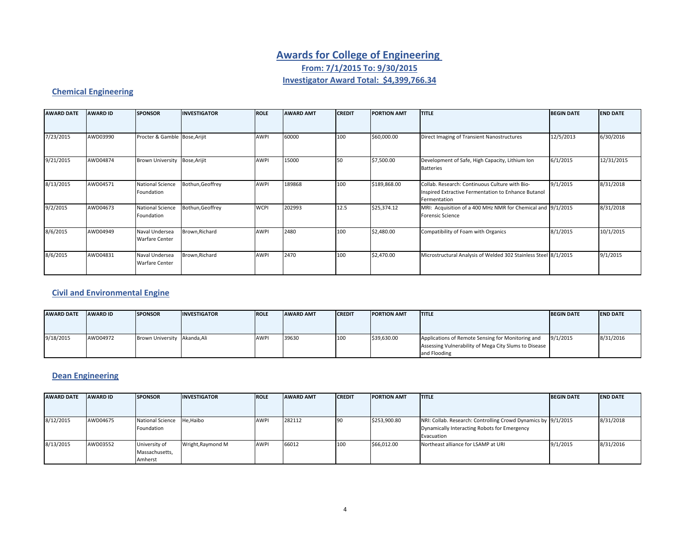# **Awards for College of Engineering From: 7/1/2015 To: 9/30/2015 Investigator Award Total: \$4,399,766.34**

### **Chemical Engineering**

| <b>AWARD DATE</b> | <b>AWARD ID</b> | <b>SPONSOR</b>                          | <b>INVESTIGATOR</b> | <b>ROLE</b> | <b>AWARD AMT</b> | <b>CREDIT</b> | <b>PORTION AMT</b> | <b>TITLE</b>                                                                                                          | <b>BEGIN DATE</b> | <b>END DATE</b> |
|-------------------|-----------------|-----------------------------------------|---------------------|-------------|------------------|---------------|--------------------|-----------------------------------------------------------------------------------------------------------------------|-------------------|-----------------|
|                   |                 |                                         |                     |             |                  |               |                    |                                                                                                                       |                   |                 |
| 7/23/2015         | AWD03990        | Procter & Gamble Bose, Arijit           |                     | <b>AWPI</b> | 60000            | 100           | \$60,000.00        | Direct Imaging of Transient Nanostructures                                                                            | 12/5/2013         | 6/30/2016       |
| 9/21/2015         | AWD04874        | <b>Brown University</b>                 | Bose, Arijit        | <b>AWPI</b> | 15000            | 50            | \$7,500.00         | Development of Safe, High Capacity, Lithium Ion<br><b>Batteries</b>                                                   | 6/1/2015          | 12/31/2015      |
| 8/13/2015         | AWD04571        | <b>National Science</b><br>Foundation   | Bothun, Geoffrey    | <b>AWPI</b> | 189868           | 100           | \$189,868.00       | Collab. Research: Continuous Culture with Bio-<br>Inspired Extractive Fermentation to Enhance Butanol<br>Fermentation | 9/1/2015          | 8/31/2018       |
| 9/2/2015          | AWD04673        | <b>National Science</b><br>Foundation   | Bothun, Geoffrey    | <b>WCPI</b> | 202993           | 12.5          | \$25,374.12        | MRI: Acquisition of a 400 MHz NMR for Chemical and 9/1/2015<br><b>Forensic Science</b>                                |                   | 8/31/2018       |
| 8/6/2015          | AWD04949        | Naval Undersea<br><b>Warfare Center</b> | Brown, Richard      | AWPI        | 2480             | 100           | \$2,480.00         | Compatibility of Foam with Organics                                                                                   | 8/1/2015          | 10/1/2015       |
| 8/6/2015          | AWD04831        | Naval Undersea<br><b>Warfare Center</b> | Brown, Richard      | <b>AWPI</b> | 2470             | 100           | \$2,470.00         | Microstructural Analysis of Welded 302 Stainless Steel 8/1/2015                                                       |                   | 9/1/2015        |

### **Civil and Environmental Engine**

| <b>AWARD DATE</b> | <b>AWARD ID</b> | <b>SPONSOR</b>               | <b>INVESTIGATOR</b> | <b>IROLE</b> | <b>AWARD AMT</b> | <b>ICREDIT</b> | <b>PORTION AMT</b> | <b>ITITLE</b>                                         | <b>BEGIN DATE</b> | <b>END DATE</b> |
|-------------------|-----------------|------------------------------|---------------------|--------------|------------------|----------------|--------------------|-------------------------------------------------------|-------------------|-----------------|
|                   |                 |                              |                     |              |                  |                |                    |                                                       |                   |                 |
|                   |                 |                              |                     |              |                  |                |                    |                                                       |                   |                 |
| 9/18/2015         | AWD04972        | Brown University Akanda, Ali |                     | <b>AWPI</b>  | 39630            | 100            | \$39,630.00        | Applications of Remote Sensing for Monitoring and     | 9/1/2015          | 8/31/2016       |
|                   |                 |                              |                     |              |                  |                |                    | Assessing Vulnerability of Mega City Slums to Disease |                   |                 |
|                   |                 |                              |                     |              |                  |                |                    | and Flooding                                          |                   |                 |

### **Dean Engineering**

| <b>AWARD DATE</b> | <b>AWARD ID</b> | <b>SPONSOR</b>          | <b>INVESTIGATOR</b> | <b>ROLE</b> | <b>AWARD AMT</b> | <b>CREDIT</b> | <b>PORTION AMT</b> | <b>ITITLE</b>                                                 | <b>BEGIN DATE</b> | <b>END DATE</b> |
|-------------------|-----------------|-------------------------|---------------------|-------------|------------------|---------------|--------------------|---------------------------------------------------------------|-------------------|-----------------|
|                   |                 |                         |                     |             |                  |               |                    |                                                               |                   |                 |
| 8/12/2015         | AWD04675        | <b>National Science</b> | He, Haibo           | <b>AWPI</b> | 282112           |               | \$253,900.80       | NRI: Collab. Research: Controlling Crowd Dynamics by 9/1/2015 |                   | 8/31/2018       |
|                   |                 | Foundation              |                     |             |                  |               |                    | Dynamically Interacting Robots for Emergency                  |                   |                 |
|                   |                 |                         |                     |             |                  |               |                    | Evacuation                                                    |                   |                 |
| 8/13/2015         | AWD03552        | University of           | Wright, Raymond M   | <b>AWPI</b> | 66012            | 100           | \$66,012.00        | Northeast alliance for LSAMP at URI                           | 9/1/2015          | 8/31/2016       |
|                   |                 | Massachusetts,          |                     |             |                  |               |                    |                                                               |                   |                 |
|                   |                 | Amherst                 |                     |             |                  |               |                    |                                                               |                   |                 |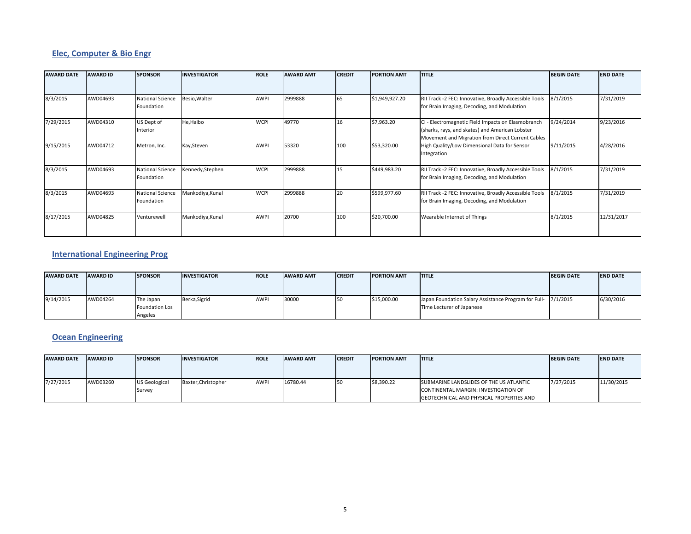### **Elec, Computer & Bio Engr**

| <b>AWARD DATE</b> | <b>AWARD ID</b> | <b>SPONSOR</b>                        | <b>INVESTIGATOR</b> | <b>ROLE</b> | <b>AWARD AMT</b> | <b>CREDIT</b> | <b>PORTION AMT</b> | <b>TITLE</b>                                                                                                                                               | <b>BEGIN DATE</b> | <b>END DATE</b> |
|-------------------|-----------------|---------------------------------------|---------------------|-------------|------------------|---------------|--------------------|------------------------------------------------------------------------------------------------------------------------------------------------------------|-------------------|-----------------|
|                   |                 |                                       |                     |             |                  |               |                    |                                                                                                                                                            |                   |                 |
| 8/3/2015          | AWD04693        | <b>National Science</b><br>Foundation | Besio, Walter       | AWPI        | 2999888          | 65            | \$1,949,927.20     | RII Track -2 FEC: Innovative, Broadly Accessible Tools<br>for Brain Imaging, Decoding, and Modulation                                                      | 8/1/2015          | 7/31/2019       |
| 7/29/2015         | AWD04310        | US Dept of<br>Interior                | He, Haibo           | <b>WCPI</b> | 49770            | 16            | \$7,963.20         | CI - Electromagnetic Field Impacts on Elasmobranch<br>(sharks, rays, and skates) and American Lobster<br>Movement and Migration from Direct Current Cables | 9/24/2014         | 9/23/2016       |
| 9/15/2015         | AWD04712        | Metron, Inc.                          | Kay, Steven         | AWPI        | 53320            | 100           | \$53,320.00        | High Quality/Low Dimensional Data for Sensor<br>Integration                                                                                                | 9/11/2015         | 4/28/2016       |
| 8/3/2015          | AWD04693        | <b>National Science</b><br>Foundation | Kennedy, Stephen    | <b>WCPI</b> | 2999888          | 15            | \$449,983.20       | RII Track -2 FEC: Innovative, Broadly Accessible Tools<br>for Brain Imaging, Decoding, and Modulation                                                      | 8/1/2015          | 7/31/2019       |
| 8/3/2015          | AWD04693        | <b>National Science</b><br>Foundation | Mankodiya, Kunal    | <b>WCPI</b> | 2999888          | 20            | \$599,977.60       | RII Track -2 FEC: Innovative, Broadly Accessible Tools<br>for Brain Imaging, Decoding, and Modulation                                                      | 8/1/2015          | 7/31/2019       |
| 8/17/2015         | AWD04825        | Venturewell                           | Mankodiya, Kunal    | AWPI        | 20700            | 100           | \$20,700.00        | Wearable Internet of Things                                                                                                                                | 8/1/2015          | 12/31/2017      |

#### **International Engineering Prog**

| <b>AWARD DATE</b> | <b>AWARD ID</b> | <b>SPONSOR</b> | <b>INVESTIGATOR</b> | <b>ROLE</b> | <b>AWARD AMT</b> | <b>CREDIT</b> | <b>PORTION AMT</b> | <b>ITITLE</b>                                                 | <b>BEGIN DATE</b> | <b>END DATE</b> |
|-------------------|-----------------|----------------|---------------------|-------------|------------------|---------------|--------------------|---------------------------------------------------------------|-------------------|-----------------|
|                   |                 |                |                     |             |                  |               |                    |                                                               |                   |                 |
|                   |                 |                |                     |             |                  |               |                    |                                                               |                   |                 |
| 9/14/2015         | AWD04264        | The Japan      | Berka, Sigrid       | <b>AWP</b>  | 30000            |               | \$15,000.00        | Japan Foundation Salary Assistance Program for Full- 7/1/2015 |                   | 6/30/2016       |
|                   |                 | Foundation Los |                     |             |                  |               |                    | Time Lecturer of Japanese                                     |                   |                 |
|                   |                 | Angeles        |                     |             |                  |               |                    |                                                               |                   |                 |

#### **Ocean Engineering**

| <b>AWARD DATE</b> | <b>AWARD ID</b> | <b>SPONSOR</b>                 | <b>INVESTIGATOR</b> | <b>ROLE</b> | <b>AWARD AMT</b> | <b>CREDIT</b> | <b>PORTION AMT</b> | <b>ITITLE</b>                                                                                                               | <b>BEGIN DATE</b> | <b>END DATE</b> |
|-------------------|-----------------|--------------------------------|---------------------|-------------|------------------|---------------|--------------------|-----------------------------------------------------------------------------------------------------------------------------|-------------------|-----------------|
| 7/27/2015         | AWD03260        | <b>US Geological</b><br>Survey | Baxter, Christopher | <b>AWP</b>  | 16780.44         |               | \$8.390.22         | SUBMARINE LANDSLIDES OF THE US ATLANTIC<br>CONTINENTAL MARGIN: INVESTIGATION OF<br>GEOTECHNICAL AND PHYSICAL PROPERTIES AND | 7/27/2015         | 11/30/2015      |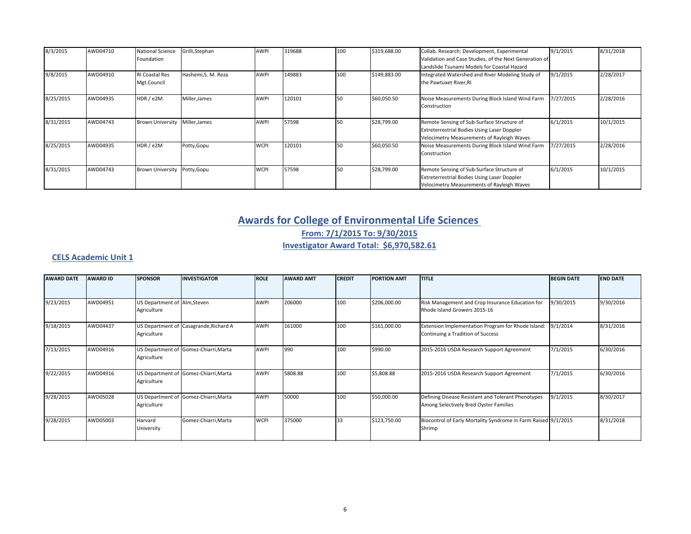| 8/3/2015  | AWD04710 | <b>National Science</b><br>Foundation | Grilli, Stephan     | <b>AWPI</b> | 319688 | 100 | \$319,688.00 | Collab. Research: Development, Experimental<br>Validation and Case Studies, of the Next Generation of<br>Landslide Tsunami Models for Coastal Hazard | 9/1/2015  | 8/31/2018 |
|-----------|----------|---------------------------------------|---------------------|-------------|--------|-----|--------------|------------------------------------------------------------------------------------------------------------------------------------------------------|-----------|-----------|
| 9/8/2015  | AWD04910 | <b>RI Coastal Res</b><br>Mgt.Council  | Hashemi, S. M. Reza | <b>AWPI</b> | 149883 | 100 | \$149,883.00 | Integrated Watershed and River Modeling Study of<br>the Pawtuxet River, RI                                                                           | 9/1/2015  | 2/28/2017 |
| 8/25/2015 | AWD04935 | HDR / e2M                             | Miller, James       | AWPI        | 120101 | 50  | \$60,050.50  | Noise Measurements During Block Island Wind Farm<br>Construction                                                                                     | 7/27/2015 | 2/28/2016 |
| 8/31/2015 | AWD04743 | <b>Brown University</b>               | Miller, James       | AWPI        | 57598  | 50  | \$28,799.00  | Remote Sensing of Sub-Surface Structure of<br><b>Extreterrestrial Bodies Using Laser Doppler</b><br>Velocimetry Measurements of Rayleigh Waves       | 6/1/2015  | 10/1/2015 |
| 8/25/2015 | AWD04935 | HDR / e2M                             | Potty, Gopu         | <b>WCPI</b> | 120101 | 50  | \$60,050.50  | Noise Measurements During Block Island Wind Farm<br>Construction                                                                                     | 7/27/2015 | 2/28/2016 |
| 8/31/2015 | AWD04743 | <b>Brown University</b>               | Potty, Gopu         | <b>WCPI</b> | 57598  | 50  | \$28,799.00  | Remote Sensing of Sub-Surface Structure of<br>Extreterrestrial Bodies Using Laser Doppler<br>Velocimetry Measurements of Rayleigh Waves              | 6/1/2015  | 10/1/2015 |

# **Awards for College of Environmental Life Sciences From: 7/1/2015 To: 9/30/2015 Investigator Award Total: \$6,970,582.61**

#### **CELS Academic Unit 1**

| <b>AWARD DATE</b> | <b>AWARD ID</b> | <b>SPONSOR</b>                              | <b>INVESTIGATOR</b>                    | <b>ROLE</b> | <b>AWARD AMT</b> | <b>CREDIT</b> | <b>PORTION AMT</b> | <b>TITLE</b>                                                                                 | <b>BEGIN DATE</b> | <b>END DATE</b> |
|-------------------|-----------------|---------------------------------------------|----------------------------------------|-------------|------------------|---------------|--------------------|----------------------------------------------------------------------------------------------|-------------------|-----------------|
|                   |                 |                                             |                                        |             |                  |               |                    |                                                                                              |                   |                 |
| 9/23/2015         | AWD04951        | US Department of Alm, Steven<br>Agriculture |                                        | <b>AWPI</b> | 206000           | 100           | \$206,000.00       | Risk Management and Crop Insurance Education for<br>Rhode Island Growers 2015-16             | 9/30/2015         | 9/30/2016       |
| 9/18/2015         | AWD04437        | Agriculture                                 | US Department of Casagrande, Richard A | <b>AWPI</b> | 161000           | 100           | \$161,000.00       | Extension Implementation Program for Rhode Island:<br>Continuing a Tradition of Success      | 9/1/2014          | 8/31/2016       |
| 7/13/2015         | AWD04916        | Agriculture                                 | US Department of Gomez-Chiarri, Marta  | <b>AWPI</b> | 990              | 100           | \$990.00           | 2015-2016 USDA Research Support Agreement                                                    | 7/1/2015          | 6/30/2016       |
| 9/22/2015         | AWD04916        | Agriculture                                 | US Department of Gomez-Chiarri, Marta  | <b>AWPI</b> | 5808.88          | 100           | \$5,808.88         | 2015-2016 USDA Research Support Agreement                                                    | 7/1/2015          | 6/30/2016       |
| 9/28/2015         | AWD05028        | Agriculture                                 | US Department of Gomez-Chiarri, Marta  | <b>AWPI</b> | 50000            | 100           | \$50,000.00        | Defining Disease Resistant and Tolerant Phenotypes<br>Among Selectively Bred Oyster Families | 9/1/2015          | 8/30/2017       |
| 9/28/2015         | AWD05003        | Harvard<br>University                       | Gomez-Chiarri, Marta                   | <b>WCPI</b> | 375000           | 33            | \$123,750.00       | Biocontrol of Early Mortality Syndrome in Farm Raised 9/1/2015<br>Shrimp                     |                   | 8/31/2018       |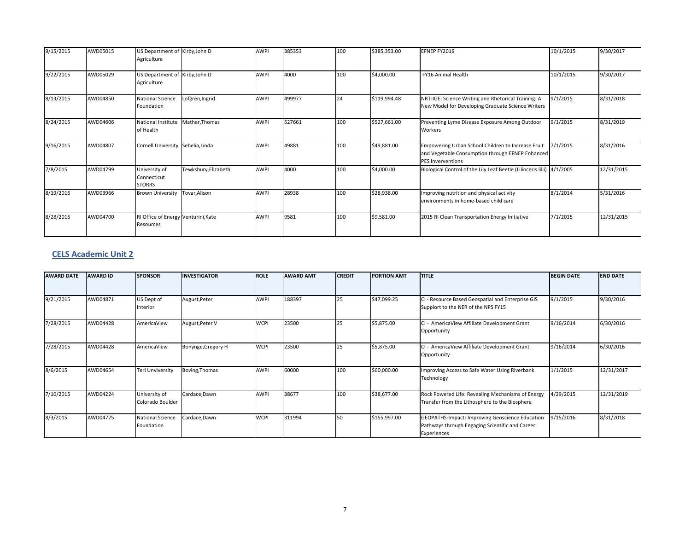| 9/15/2015 | AWD05015 | US Department of Kirby, John D<br>Agriculture    |                      | <b>AWPI</b> | 385353 | 100 | \$385,353.00 | EFNEP FY2016                                                                                                                       | 10/1/2015 | 9/30/2017  |
|-----------|----------|--------------------------------------------------|----------------------|-------------|--------|-----|--------------|------------------------------------------------------------------------------------------------------------------------------------|-----------|------------|
| 9/22/2015 | AWD05029 | US Department of Kirby, John D<br>Agriculture    |                      | <b>AWPI</b> | 4000   | 100 | \$4,000.00   | <b>FY16 Animal Health</b>                                                                                                          | 10/1/2015 | 9/30/2017  |
| 8/13/2015 | AWD04850 | National Science<br>Foundation                   | Lofgren, Ingrid      | <b>AWPI</b> | 499977 | 24  | \$119,994.48 | NRT-IGE: Science Writing and Rhetorical Training: A<br>New Model for Developing Graduate Science Writers                           | 9/1/2015  | 8/31/2018  |
| 8/24/2015 | AWD04606 | National Institute Mather, Thomas<br>of Health   |                      | <b>AWPI</b> | 527661 | 100 | \$527,661.00 | Preventing Lyme Disease Exposure Among Outdoor<br>Workers                                                                          | 9/1/2015  | 8/31/2019  |
| 9/16/2015 | AWD04807 | Cornell University Sebelia, Linda                |                      | <b>AWPI</b> | 49881  | 100 | \$49,881.00  | Empowering Urban School Children to Increase Fruit<br>and Vegetable Consumption through EFNEP Enhanced<br><b>PES Inverventions</b> | 7/1/2015  | 8/31/2016  |
| 7/8/2015  | AWD04799 | University of<br>Connecticut<br><b>STORRS</b>    | Tewksbury, Elizabeth | <b>AWPI</b> | 4000   | 100 | \$4,000.00   | Biological Control of the Lily Leaf Beetle (Lilioceris lilii) 4/1/2005                                                             |           | 12/31/2015 |
| 8/19/2015 | AWD03966 | <b>Brown University</b>                          | Tovar,Alison         | <b>AWPI</b> | 28938  | 100 | \$28,938.00  | Improving nutrition and physical activity<br>environments in home-based child care                                                 | 8/1/2014  | 5/31/2016  |
| 8/28/2015 | AWD04700 | RI Office of Energy Venturini, Kate<br>Resources |                      | <b>AWPI</b> | 9581   | 100 | \$9,581.00   | 2015 RI Clean Transportation Energy Initiative                                                                                     | 7/1/2015  | 12/31/2015 |

#### **CELS Academic Unit 2**

| <b>AWARD DATE</b> | <b>AWARD ID</b> | <b>SPONSOR</b>                        | <b>INVESTIGATOR</b> | <b>ROLE</b> | <b>AWARD AMT</b> | <b>CREDIT</b> | <b>PORTION AMT</b> | <b>TITLE</b>                                                                                                      | <b>BEGIN DATE</b> | <b>END DATE</b> |
|-------------------|-----------------|---------------------------------------|---------------------|-------------|------------------|---------------|--------------------|-------------------------------------------------------------------------------------------------------------------|-------------------|-----------------|
| 9/21/2015         | AWD04871        | US Dept of<br>Interior                | August, Peter       | <b>AWPI</b> | 188397           | 25            | \$47,099.25        | CI - Resource Based Geospatial and Enterprise GIS<br>Supplort to the NER of the NPS FY15                          | 9/1/2015          | 9/30/2016       |
| 7/28/2015         | AWD04428        | AmericaView                           | August, Peter V     | <b>WCPI</b> | 23500            | 25            | \$5,875.00         | CI - AmericaView Affiliate Development Grant<br>Opportunity                                                       | 9/16/2014         | 6/30/2016       |
| 7/28/2015         | AWD04428        | AmericaView                           | Bonynge, Gregory H  | <b>WCPI</b> | 23500            | 25            | \$5,875.00         | CI - AmericaView Affiliate Development Grant<br>Opportunity                                                       | 9/16/2014         | 6/30/2016       |
| 8/6/2015          | AWD04654        | Teri Unviversity                      | Boving, Thomas      | <b>AWPI</b> | 60000            | 100           | \$60,000.00        | Improving Access to Safe Water Using Riverbank<br>Technology                                                      | 1/1/2015          | 12/31/2017      |
| 7/10/2015         | AWD04224        | University of<br>Colorado Boulder     | Cardace, Dawn       | <b>AWPI</b> | 38677            | 100           | \$38,677.00        | Rock Powered Life: Revealing Mechanisms of Energy<br>Transfer from the Lithosphere to the Biosphere               | 4/29/2015         | 12/31/2019      |
| 8/3/2015          | AWD04775        | <b>National Science</b><br>Foundation | Cardace, Dawn       | <b>WCPI</b> | 311994           | 150           | \$155,997.00       | GEOPATHS-Impact: Improving Geoscience Education<br>Pathways through Engaging Scientific and Career<br>Experiences | 9/15/2016         | 8/31/2018       |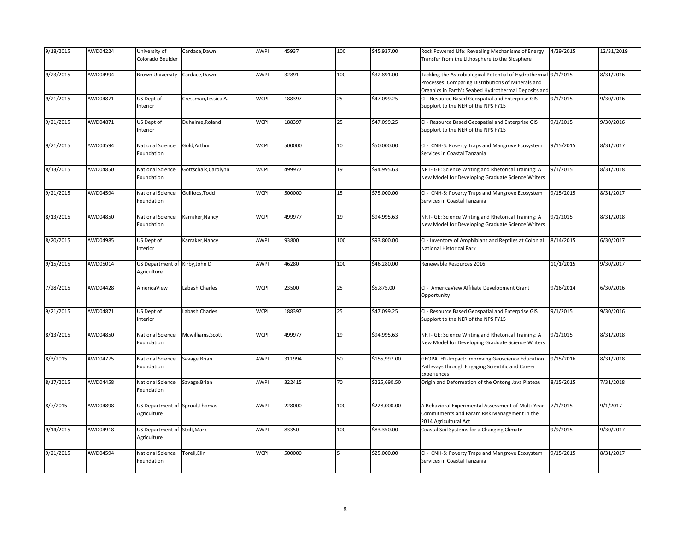| 9/18/2015 | AWD04224 | University of<br>Colorado Boulder              | Cardace, Dawn        | AWPI        | 45937  | 100 | \$45,937.00  | Rock Powered Life: Revealing Mechanisms of Energy<br>Transfer from the Lithosphere to the Biosphere                                                                           | 4/29/2015 | 12/31/2019 |
|-----------|----------|------------------------------------------------|----------------------|-------------|--------|-----|--------------|-------------------------------------------------------------------------------------------------------------------------------------------------------------------------------|-----------|------------|
| 9/23/2015 | AWD04994 | Brown University                               | Cardace, Dawn        | AWPI        | 32891  | 100 | \$32,891.00  | Tackling the Astrobiological Potential of Hydrothermal 9/1/2015<br>Processes: Comparing Distributions of Minerals and<br>Organics in Earth's Seabed Hydrothermal Deposits and |           | 8/31/2016  |
| 9/21/2015 | AWD04871 | US Dept of<br>Interior                         | Cressman, Jessica A. | <b>WCPI</b> | 188397 | 25  | \$47,099.25  | CI - Resource Based Geospatial and Enterprise GIS<br>Supplort to the NER of the NPS FY15                                                                                      | 9/1/2015  | 9/30/2016  |
| 9/21/2015 | AWD04871 | US Dept of<br>Interior                         | Duhaime, Roland      | <b>WCPI</b> | 188397 | 25  | \$47,099.25  | CI - Resource Based Geospatial and Enterprise GIS<br>Supplort to the NER of the NPS FY15                                                                                      | 9/1/2015  | 9/30/2016  |
| 9/21/2015 | AWD04594 | National Science<br>Foundation                 | Gold, Arthur         | <b>WCPI</b> | 500000 | 10  | \$50,000.00  | CI - CNH-S: Poverty Traps and Mangrove Ecosystem<br>Services in Coastal Tanzania                                                                                              | 9/15/2015 | 8/31/2017  |
| 8/13/2015 | AWD04850 | National Science<br>Foundation                 | Gottschalk, Carolynn | <b>WCPI</b> | 499977 | 19  | \$94,995.63  | NRT-IGE: Science Writing and Rhetorical Training: A<br>New Model for Developing Graduate Science Writers                                                                      | 9/1/2015  | 8/31/2018  |
| 9/21/2015 | AWD04594 | National Science<br>Foundation                 | Guilfoos, Todd       | <b>WCPI</b> | 500000 | 15  | \$75,000.00  | CI - CNH-S: Poverty Traps and Mangrove Ecosystem<br>Services in Coastal Tanzania                                                                                              | 9/15/2015 | 8/31/2017  |
| 8/13/2015 | AWD04850 | National Science<br>Foundation                 | Karraker, Nancy      | <b>WCPI</b> | 499977 | 19  | \$94,995.63  | NRT-IGE: Science Writing and Rhetorical Training: A<br>New Model for Developing Graduate Science Writers                                                                      | 9/1/2015  | 8/31/2018  |
| 8/20/2015 | AWD04985 | US Dept of<br>Interior                         | Karraker, Nancy      | AWPI        | 93800  | 100 | \$93,800.00  | CI - Inventory of Amphibians and Reptiles at Colonial<br>National Historical Park                                                                                             | 8/14/2015 | 6/30/2017  |
| 9/15/2015 | AWD05014 | US Department of Kirby, John D<br>Agriculture  |                      | <b>AWPI</b> | 46280  | 100 | \$46,280.00  | Renewable Resources 2016                                                                                                                                                      | 10/1/2015 | 9/30/2017  |
| 7/28/2015 | AWD04428 | AmericaView                                    | Labash, Charles      | <b>WCPI</b> | 23500  | 25  | \$5,875.00   | CI - AmericaView Affiliate Development Grant<br>Opportunity                                                                                                                   | 9/16/2014 | 6/30/2016  |
| 9/21/2015 | AWD04871 | US Dept of<br>Interior                         | Labash, Charles      | <b>WCPI</b> | 188397 | 25  | \$47,099.25  | CI - Resource Based Geospatial and Enterprise GIS<br>Supplort to the NER of the NPS FY15                                                                                      | 9/1/2015  | 9/30/2016  |
| 8/13/2015 | AWD04850 | National Science<br>Foundation                 | Mcwilliams, Scott    | <b>WCPI</b> | 499977 | 19  | \$94,995.63  | NRT-IGE: Science Writing and Rhetorical Training: A<br>New Model for Developing Graduate Science Writers                                                                      | 9/1/2015  | 8/31/2018  |
| 8/3/2015  | AWD04775 | National Science<br>Foundation                 | Savage, Brian        | AWPI        | 311994 | 50  | \$155,997.00 | GEOPATHS-Impact: Improving Geoscience Education<br>Pathways through Engaging Scientific and Career<br>Experiences                                                             | 9/15/2016 | 8/31/2018  |
| 8/17/2015 | AWD04458 | National Science<br>Foundation                 | Savage, Brian        | <b>AWPI</b> | 322415 | 70  | \$225,690.50 | Origin and Deformation of the Ontong Java Plateau                                                                                                                             | 8/15/2015 | 7/31/2018  |
| 8/7/2015  | AWD04898 | US Department of Sproul, Thomas<br>Agriculture |                      | <b>AWPI</b> | 228000 | 100 | \$228,000.00 | A Behavioral Experimental Assessment of Multi-Year<br>Commitments and Faram Risk Management in the<br>2014 Agricultural Act                                                   | 7/1/2015  | 9/1/2017   |
| 9/14/2015 | AWD04918 | US Department of Stolt, Mark<br>Agriculture    |                      | <b>AWPI</b> | 83350  | 100 | \$83,350.00  | Coastal Soil Systems for a Changing Climate                                                                                                                                   | 9/9/2015  | 9/30/2017  |
| 9/21/2015 | AWD04594 | National Science<br>Foundation                 | Torell, Elin         | <b>WCPI</b> | 500000 |     | \$25,000.00  | CI - CNH-S: Poverty Traps and Mangrove Ecosystem<br>Services in Coastal Tanzania                                                                                              | 9/15/2015 | 8/31/2017  |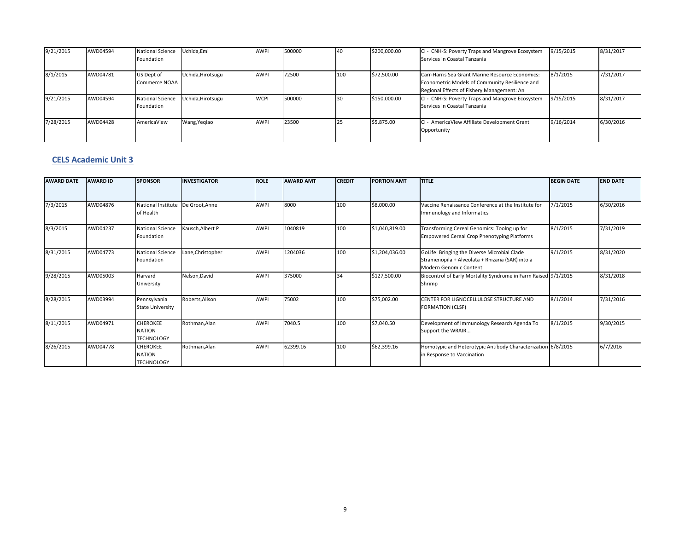| 9/21/2015 | AWD04594 | <b>National Science</b><br>Foundation | Uchida, Emi       | <b>AWPI</b> | 500000 |     | \$200,000.00 | CI - CNH-S: Poverty Traps and Mangrove Ecosystem<br>Services in Coastal Tanzania                                                                 | 9/15/2015 | 8/31/2017 |
|-----------|----------|---------------------------------------|-------------------|-------------|--------|-----|--------------|--------------------------------------------------------------------------------------------------------------------------------------------------|-----------|-----------|
| 8/1/2015  | AWD04781 | US Dept of<br>Commerce NOAA           | Uchida, Hirotsugu | <b>AWPI</b> | 72500  | 100 | \$72,500.00  | Carr-Harris Sea Grant Marine Resource Economics:<br>Econometric Models of Community Resilience and<br>Regional Effects of Fishery Management: An | 8/1/2015  | 7/31/2017 |
| 9/21/2015 | AWD04594 | <b>National Science</b><br>Foundation | Uchida, Hirotsugu | <b>WCPI</b> | 500000 |     | \$150,000.00 | CI - CNH-S: Poverty Traps and Mangrove Ecosystem<br>Services in Coastal Tanzania                                                                 | 9/15/2015 | 8/31/2017 |
| 7/28/2015 | AWD04428 | AmericaView                           | Wang, Yegiao      | <b>AWPI</b> | 23500  |     | \$5,875.00   | CI - AmericaView Affiliate Development Grant<br>Opportunity                                                                                      | 9/16/2014 | 6/30/2016 |

#### **CELS Academic Unit 3**

| <b>AWARD DATE</b> | <b>AWARD ID</b> | <b>SPONSOR</b>                                        | <b>INVESTIGATOR</b> | <b>ROLE</b> | <b>AWARD AMT</b> | <b>CREDIT</b> | <b>PORTION AMT</b> | <b>TITLE</b>                                                                                                               | <b>BEGIN DATE</b> | <b>END DATE</b> |
|-------------------|-----------------|-------------------------------------------------------|---------------------|-------------|------------------|---------------|--------------------|----------------------------------------------------------------------------------------------------------------------------|-------------------|-----------------|
| 7/3/2015          | AWD04876        | National Institute<br>of Health                       | De Groot.Anne       | <b>AWPI</b> | 8000             | 100           | \$8,000.00         | Vaccine Renaissance Conference at the Institute for<br>Immunology and Informatics                                          | 7/1/2015          | 6/30/2016       |
| 8/3/2015          | AWD04237        | <b>National Science</b><br>Foundation                 | Kausch, Albert P    | <b>AWPI</b> | 1040819          | 100           | \$1,040,819.00     | Transforming Cereal Genomics: Toolng up for<br><b>Empowered Cereal Crop Phenotyping Platforms</b>                          | 8/1/2015          | 7/31/2019       |
| 8/31/2015         | AWD04773        | <b>National Science</b><br>Foundation                 | Lane, Christopher   | <b>AWPI</b> | 1204036          | 100           | \$1,204,036.00     | GoLife: Bringing the Diverse Microbial Clade<br>Stramenopila + Alveolata + Rhizaria (SAR) into a<br>Modern Genomic Content | 9/1/2015          | 8/31/2020       |
| 9/28/2015         | AWD05003        | Harvard<br>University                                 | Nelson, David       | <b>AWPI</b> | 375000           | 34            | \$127,500.00       | Biocontrol of Early Mortality Syndrome in Farm Raised 9/1/2015<br>Shrimp                                                   |                   | 8/31/2018       |
| 8/28/2015         | AWD03994        | Pennsylvania<br><b>State University</b>               | Roberts.Alison      | <b>AWPI</b> | 75002            | 100           | \$75,002.00        | CENTER FOR LIGNOCFLLULOSE STRUCTURE AND<br><b>FORMATION (CLSF)</b>                                                         | 8/1/2014          | 7/31/2016       |
| 8/11/2015         | AWD04971        | <b>CHEROKEE</b><br><b>NATION</b><br><b>TECHNOLOGY</b> | Rothman, Alan       | <b>AWPI</b> | 7040.5           | 100           | \$7,040.50         | Development of Immunology Research Agenda To<br>Support the WRAIR                                                          | 8/1/2015          | 9/30/2015       |
| 8/26/2015         | AWD04778        | <b>CHEROKEE</b><br><b>NATION</b><br><b>TECHNOLOGY</b> | Rothman, Alan       | <b>AWPI</b> | 62399.16         | 100           | \$62,399.16        | Homotypic and Heterotypic Antibody Characterization 6/8/2015<br>in Response to Vaccination                                 |                   | 6/7/2016        |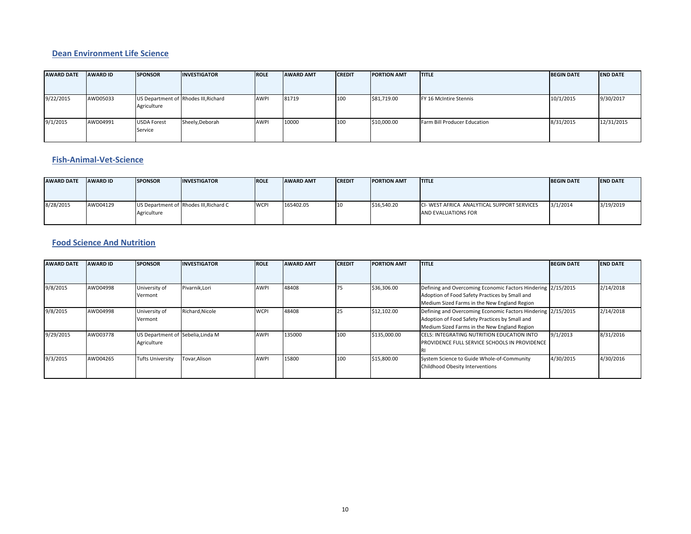#### **Dean Environment Life Science**

| <b>AWARD DATE</b> | <b>AWARD ID</b> | <b>SPONSOR</b>                | <b>INVESTIGATOR</b>                  | <b>IROLE</b> | <b>AWARD AMT</b> | <b>CREDIT</b> | <b>PORTION AMT</b> | <b>ITITLE</b>                | <b>BEGIN DATE</b> | <b>END DATE</b> |
|-------------------|-----------------|-------------------------------|--------------------------------------|--------------|------------------|---------------|--------------------|------------------------------|-------------------|-----------------|
| 9/22/2015         | AWD05033        | Agriculture                   | US Department of Rhodes III, Richard | AWPI         | 81719            | 100           | \$81,719.00        | FY 16 McIntire Stennis       | 10/1/2015         | 9/30/2017       |
| 9/1/2015          | AWD04991        | <b>USDA Forest</b><br>Service | Sheely, Deborah                      | <b>AWPI</b>  | 10000            | 100           | \$10,000.00        | Farm Bill Producer Education | 8/31/2015         | 12/31/2015      |

#### **Fish‐Animal‐Vet‐Science**

| <b>AWARD DATE</b> | <b>AWARD ID</b> | <b>SPONSOR</b> | <b>INVESTIGATOR</b>                    | <b>ROLE</b> | <b>AWARD AMT</b> | <b>CREDIT</b> | <b>PORTION AMT</b> | <b>ITITLE</b>                                                      | <b>BEGIN DATE</b> | <b>END DATE</b> |
|-------------------|-----------------|----------------|----------------------------------------|-------------|------------------|---------------|--------------------|--------------------------------------------------------------------|-------------------|-----------------|
| 8/28/2015         | AWD04129        | Agriculture    | US Department of Rhodes III, Richard C | <b>WCPI</b> | 165402.05        | 10            | \$16,540.20        | CI- WEST AFRICA ANALYTICAL SUPPORT SERVICES<br>AND EVALUATIONS FOR | 3/1/2014          | 3/19/2019       |

### **Food Science And Nutrition**

| <b>AWARD DATE</b> | <b>AWARD ID</b> | <b>SPONSOR</b>                                   | <b>NVESTIGATOR</b> | <b>ROLE</b> | <b>AWARD AMT</b> | <b>CREDIT</b> | <b>PORTION AMT</b> | <b>ITITLE</b>                                                                                                                                                  | <b>BEGIN DATE</b> | <b>END DATE</b> |
|-------------------|-----------------|--------------------------------------------------|--------------------|-------------|------------------|---------------|--------------------|----------------------------------------------------------------------------------------------------------------------------------------------------------------|-------------------|-----------------|
|                   |                 |                                                  |                    |             |                  |               |                    |                                                                                                                                                                |                   |                 |
| 9/8/2015          | AWD04998        | University of<br>Vermont                         | Pivarnik, Lori     | <b>AWPI</b> | 48408            |               | \$36,306.00        | Defining and Overcoming Economic Factors Hindering 2/15/2015<br>Adoption of Food Safety Practices by Small and<br>Medium Sized Farms in the New England Region |                   | 2/14/2018       |
| 9/8/2015          | AWD04998        | University of<br>Vermont                         | Richard, Nicole    | <b>WCPI</b> | 48408            |               | \$12,102.00        | Defining and Overcoming Economic Factors Hindering 2/15/2015<br>Adoption of Food Safety Practices by Small and<br>Medium Sized Farms in the New England Region |                   | 2/14/2018       |
| 9/29/2015         | AWD03778        | US Department of Sebelia, Linda M<br>Agriculture |                    | <b>AWPI</b> | 135000           | 100           | \$135,000.00       | CELS: INTEGRATING NUTRITION EDUCATION INTO<br>PROVIDENCE FULL SERVICE SCHOOLS IN PROVIDENCE                                                                    | 9/1/2013          | 8/31/2016       |
| 9/3/2015          | AWD04265        | <b>Tufts University</b>                          | Tovar, Alison      | <b>AWPI</b> | 15800            | 100           | \$15,800.00        | System Science to Guide Whole-of-Community<br>Childhood Obesity Interventions                                                                                  | 4/30/2015         | 4/30/2016       |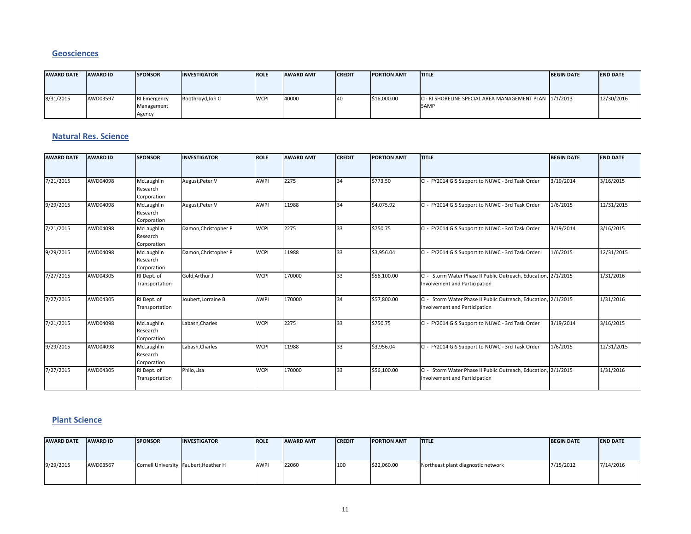#### **Geosciences**

| <b>AWARD DATE</b> | <b>AWARD ID</b> | <b>SPONSOR</b>                              | <b>INVESTIGATOR</b> | <b>ROLE</b>       | <b>AWARD AMT</b> | <b>CREDIT</b> | <b>PORTION AMT</b> | <b>ITITLE</b>                                                         | <b>BEGIN DATE</b> | <b>END DATE</b> |
|-------------------|-----------------|---------------------------------------------|---------------------|-------------------|------------------|---------------|--------------------|-----------------------------------------------------------------------|-------------------|-----------------|
| 8/31/2015         | AWD03597        | <b>RI Emergency</b><br>Management<br>Agency | Boothroyd, Jon C    | IWCP <sup>I</sup> | 40000            |               | \$16,000.00        | CI- RI SHORELINE SPECIAL AREA MANAGEMENT PLAN 1/1/2013<br><b>SAMP</b> |                   | 12/30/2016      |

#### **Natural Res. Science**

| <b>AWARD DATE</b> | <b>AWARD ID</b> | <b>SPONSOR</b>            | <b>INVESTIGATOR</b>  | <b>ROLE</b> | <b>AWARD AMT</b> | <b>CREDIT</b> | <b>PORTION AMT</b> | <b>TITLE</b>                                                   | <b>BEGIN DATE</b> | <b>END DATE</b> |
|-------------------|-----------------|---------------------------|----------------------|-------------|------------------|---------------|--------------------|----------------------------------------------------------------|-------------------|-----------------|
|                   |                 |                           |                      |             |                  |               |                    |                                                                |                   |                 |
| 7/21/2015         | AWD04098        | McLaughlin                | August, Peter V      | <b>AWPI</b> | 2275             | 34            | \$773.50           | CI - FY2014 GIS Support to NUWC - 3rd Task Order               | 3/19/2014         | 3/16/2015       |
|                   |                 | Research                  |                      |             |                  |               |                    |                                                                |                   |                 |
| 9/29/2015         | AWD04098        | Corporation<br>McLaughlin | August, Peter V      | <b>AWPI</b> | 11988            | 34            | \$4,075.92         | CI - FY2014 GIS Support to NUWC - 3rd Task Order               | 1/6/2015          | 12/31/2015      |
|                   |                 | Research                  |                      |             |                  |               |                    |                                                                |                   |                 |
|                   |                 | Corporation               |                      |             |                  |               |                    |                                                                |                   |                 |
| 7/21/2015         | AWD04098        | McLaughlin                | Damon, Christopher P | <b>WCPI</b> | 2275             | 33            | \$750.75           | CI - FY2014 GIS Support to NUWC - 3rd Task Order               | 3/19/2014         | 3/16/2015       |
|                   |                 | Research                  |                      |             |                  |               |                    |                                                                |                   |                 |
|                   |                 | Corporation               |                      |             |                  |               |                    |                                                                |                   |                 |
| 9/29/2015         | AWD04098        | McLaughlin                | Damon, Christopher P | <b>WCPI</b> | 11988            | 33            | \$3,956.04         | CI - FY2014 GIS Support to NUWC - 3rd Task Order               | 1/6/2015          | 12/31/2015      |
|                   |                 | Research                  |                      |             |                  |               |                    |                                                                |                   |                 |
|                   |                 | Corporation               |                      |             |                  |               |                    |                                                                |                   |                 |
| 7/27/2015         | AWD04305        | RI Dept. of               | Gold, Arthur J       | <b>WCPI</b> | 170000           | 33            | \$56,100.00        | CI - Storm Water Phase II Public Outreach, Education, 2/1/2015 |                   | 1/31/2016       |
|                   |                 | Transportation            |                      |             |                  |               |                    | Involvement and Participation                                  |                   |                 |
| 7/27/2015         | AWD04305        | RI Dept. of               | Joubert, Lorraine B  | <b>AWPI</b> | 170000           | 34            | \$57,800.00        | CI - Storm Water Phase II Public Outreach, Education, 2/1/2015 |                   | 1/31/2016       |
|                   |                 | Transportation            |                      |             |                  |               |                    | Involvement and Participation                                  |                   |                 |
| 7/21/2015         | AWD04098        | McLaughlin                | Labash, Charles      | <b>WCPI</b> | 2275             | 33            | \$750.75           | CI - FY2014 GIS Support to NUWC - 3rd Task Order               | 3/19/2014         | 3/16/2015       |
|                   |                 | Research                  |                      |             |                  |               |                    |                                                                |                   |                 |
|                   |                 | Corporation               |                      |             |                  |               |                    |                                                                |                   |                 |
| 9/29/2015         | AWD04098        | McLaughlin                | Labash, Charles      | <b>WCPI</b> | 11988            | 33            | \$3,956.04         | CI - FY2014 GIS Support to NUWC - 3rd Task Order               | 1/6/2015          | 12/31/2015      |
|                   |                 | Research                  |                      |             |                  |               |                    |                                                                |                   |                 |
|                   |                 | Corporation               |                      |             |                  |               |                    |                                                                |                   |                 |
| 7/27/2015         | AWD04305        | RI Dept. of               | Philo.Lisa           | <b>WCPI</b> | 170000           | 33            | \$56,100.00        | CI - Storm Water Phase II Public Outreach. Education. 2/1/2015 |                   | 1/31/2016       |
|                   |                 | Transportation            |                      |             |                  |               |                    | Involvement and Participation                                  |                   |                 |

#### **Plant Science**

| <b>AWARD DATE</b> | <b>AWARD ID</b> | <b>SPONSOR</b> | <b>INVESTIGATOR</b>                   | <b>ROLE</b> | <b>AWARD AMT</b> | <b>CREDIT</b> | <b>PORTION AMT</b> | <b>ITITLE</b>                      | <b>BEGIN DATE</b> | <b>END DATE</b> |
|-------------------|-----------------|----------------|---------------------------------------|-------------|------------------|---------------|--------------------|------------------------------------|-------------------|-----------------|
| 9/29/2015         | AWD03567        |                | Cornell University Faubert, Heather H | AWPI        | 22060            | 100           | \$22,060.00        | Northeast plant diagnostic network | 7/15/2012         | 7/14/2016       |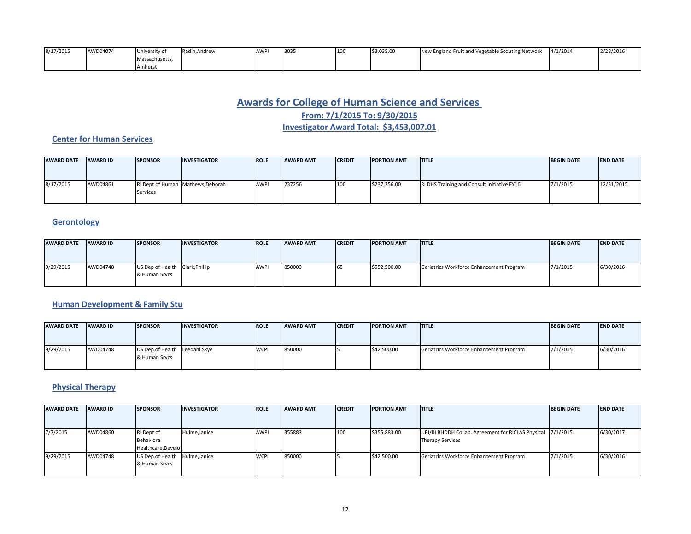| 8/17/2015 | AWD04074 | <b>University of</b> | Radin, Andrew | <b>AWPI</b> | 303 | 110( | \$3,035.00 | w England Fruit and Vegetable Scouting Network<br><b>New</b> | 4/1/2014 | 2/28/2016 |
|-----------|----------|----------------------|---------------|-------------|-----|------|------------|--------------------------------------------------------------|----------|-----------|
|           |          | Massachusetts,       |               |             |     |      |            |                                                              |          |           |
|           |          | Amhers               |               |             |     |      |            |                                                              |          |           |

# **Awards for College of Human Science and Services**

**From: 7/1/2015 To: 9/30/2015**

**Investigator Award Total: \$3,453,007.01**

### **Center for Human Services**

| <b>AWARD DATE</b> | <b>AWARD ID</b> | <b>SPONSOR</b> | <b>INVESTIGATOR</b>               | <b>IROLE</b> | <b>AWARD AMT</b> | <b>CREDIT</b> | <b>PORTION AMT</b> | <b>ITITLE</b>                               | <b>BEGIN DATE</b> | <b>END DATE</b> |
|-------------------|-----------------|----------------|-----------------------------------|--------------|------------------|---------------|--------------------|---------------------------------------------|-------------------|-----------------|
| 8/17/2015         | AWD04861        | Services       | RI Dept of Human Mathews, Deborah | <b>AWPI</b>  | 237256           | 100           | \$237,256.00       | RI DHS Training and Consult Initiative FY16 | 7/1/2015          | 12/31/2015      |

# **Gerontology**

| <b>AWARD DATE</b> | <b>AWARD ID</b> | <b>SPONSOR</b>                  | <b>INVESTIGATOR</b> | <b>IROLE</b> | <b>AWARD AMT</b> | <b>CREDIT</b> | <b>PORTION AMT</b> | <b>ITITLE</b>                            | <b>BEGIN DATE</b> | <b>IEND DATE</b> |
|-------------------|-----------------|---------------------------------|---------------------|--------------|------------------|---------------|--------------------|------------------------------------------|-------------------|------------------|
|                   |                 |                                 |                     |              |                  |               |                    |                                          |                   |                  |
|                   |                 |                                 |                     |              |                  |               |                    |                                          |                   |                  |
| 9/29/2015         | AWD04748        | US Dep of Health Clark, Phillip |                     | <b>AWPI</b>  | 850000           | 165           | \$552,500.00       | Geriatrics Workforce Enhancement Program | 7/1/2015          | 6/30/2016        |
|                   |                 | & Human Srycs                   |                     |              |                  |               |                    |                                          |                   |                  |
|                   |                 |                                 |                     |              |                  |               |                    |                                          |                   |                  |

#### **Human Development & Family Stu**

| <b>AWARD DATE</b> | <b>AWARD ID</b> | <b>SPONSOR</b>                                  | <b>INVESTIGATOR</b> | <b>ROLE</b>       | <b>AWARD AMT</b> | <b>CREDIT</b> | <b>PORTION AMT</b> | <b>ITITLE</b>                            | <b>BEGIN DATE</b> | <b>END DATE</b> |
|-------------------|-----------------|-------------------------------------------------|---------------------|-------------------|------------------|---------------|--------------------|------------------------------------------|-------------------|-----------------|
|                   |                 |                                                 |                     |                   |                  |               |                    |                                          |                   |                 |
| 9/29/2015         | AWD04748        | US Dep of Health Leedahl, Skye<br>& Human Srvcs |                     | IWCP <sup>I</sup> | 850000           |               | \$42,500.00        | Geriatrics Workforce Enhancement Program | 7/1/2015          | 6/30/2016       |

### **Physical Therapy**

| <b>AWARD DATE</b> | <b>AWARD ID</b> | <b>SPONSOR</b>                                  | <b>INVESTIGATOR</b> | <b>ROLE</b> | <b>AWARD AMT</b> | <b>CREDIT</b> | <b>PORTION AMT</b> | <b>ITITLE</b>                                                                          | <b>BEGIN DATE</b> | <b>END DATE</b> |
|-------------------|-----------------|-------------------------------------------------|---------------------|-------------|------------------|---------------|--------------------|----------------------------------------------------------------------------------------|-------------------|-----------------|
|                   |                 |                                                 |                     |             |                  |               |                    |                                                                                        |                   |                 |
| 7/7/2015          | AWD04860        | RI Dept of<br>Behavioral<br>Healthcare, Develo  | Hulme, Janice       | <b>AWP</b>  | 355883           | 100           | \$355,883.00       | URI/RI BHDDH Collab. Agreement for RICLAS Physical 7/1/2015<br><b>Therapy Services</b> |                   | 6/30/2017       |
| 9/29/2015         | AWD04748        | US Dep of Health Hulme, Janice<br>& Human Srvcs |                     | <b>WCPI</b> | 850000           |               | \$42,500.00        | Geriatrics Workforce Enhancement Program                                               | 7/1/2015          | 6/30/2016       |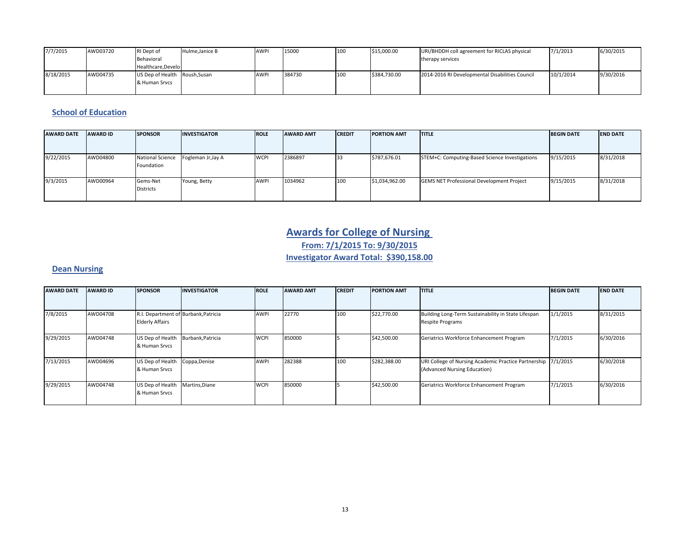| 7/7/2015  | AWD03720 | RI Dept of<br>Behavioral<br>Healthcare.Develo  | Hulme, Janice B | <b>AWPI</b> | 15000  | 100 | \$15,000.00  | URI/BHDDH coll agreement for RICLAS physical<br>therapy services | 7/1/2013  | 6/30/2015 |
|-----------|----------|------------------------------------------------|-----------------|-------------|--------|-----|--------------|------------------------------------------------------------------|-----------|-----------|
| 8/18/2015 | AWD04735 | US Dep of Health Roush, Susan<br>& Human Srvcs |                 | AWPI        | 384730 | 100 | \$384.730.00 | 2014-2016 RI Developmental Disabilities Council                  | 10/1/2014 | 9/30/2016 |

#### **School of Education**

| <b>AWARD DATE</b> | <b>AWARD ID</b> | <b>SPONSOR</b>                        | <b>INVESTIGATOR</b> | <b>ROLE</b> | <b>AWARD AMT</b> | <b>CREDIT</b> | <b>PORTION AMT</b> | <b>ITITLE</b>                                    | <b>BEGIN DATE</b> | <b>END DATE</b> |
|-------------------|-----------------|---------------------------------------|---------------------|-------------|------------------|---------------|--------------------|--------------------------------------------------|-------------------|-----------------|
| 9/22/2015         | AWD04800        | <b>National Science</b><br>Foundation | Fogleman Jr, Jay A  | <b>WCPI</b> | 2386897          |               | \$787,676.01       | STEM+C: Computing-Based Science Investigations   | 9/15/2015         | 8/31/2018       |
| 9/3/2015          | AWD00964        | Gems-Net<br><b>Districts</b>          | Young, Betty        | AWPI        | 1034962          | 100           | \$1,034,962.00     | <b>GEMS NET Professional Development Project</b> | 9/15/2015         | 8/31/2018       |

# **Awards for College of Nursing From: 7/1/2015 To: 9/30/2015 Investigator Award Total: \$390,158.00**

#### **Dean Nursing**

| <b>AWARD DATE</b> | <b>AWARD ID</b> | <b>SPONSOR</b>                                                 | <b>INVESTIGATOR</b> | <b>ROLE</b> | <b>AWARD AMT</b> | <b>CREDIT</b> | <b>PORTION AMT</b> | <b>ITITLE</b>                                                                                 | <b>BEGIN DATE</b> | <b>END DATE</b> |
|-------------------|-----------------|----------------------------------------------------------------|---------------------|-------------|------------------|---------------|--------------------|-----------------------------------------------------------------------------------------------|-------------------|-----------------|
| 7/8/2015          | AWD04708        | R.I. Department of Burbank, Patricia<br><b>Elderly Affairs</b> |                     | <b>AWPI</b> | 22770            | 100           | \$22,770.00        | Building Long-Term Sustainability in State Lifespan<br><b>Respite Programs</b>                | 1/1/2015          | 8/31/2015       |
| 9/29/2015         | AWD04748        | US Dep of Health<br>& Human Srvcs                              | Burbank, Patricia   | <b>WCPI</b> | 850000           |               | \$42,500.00        | Geriatrics Workforce Enhancement Program                                                      | 7/1/2015          | 6/30/2016       |
| 7/13/2015         | AWD04696        | US Dep of Health<br>& Human Srvcs                              | Coppa, Denise       | <b>AWPI</b> | 282388           | 100           | \$282,388.00       | URI College of Nursing Academic Practice Partnership 7/1/2015<br>(Advanced Nursing Education) |                   | 6/30/2018       |
| 9/29/2015         | AWD04748        | US Dep of Health<br>& Human Srvcs                              | Martins, Diane      | <b>WCPI</b> | 850000           |               | \$42,500.00        | Geriatrics Workforce Enhancement Program                                                      | 7/1/2015          | 6/30/2016       |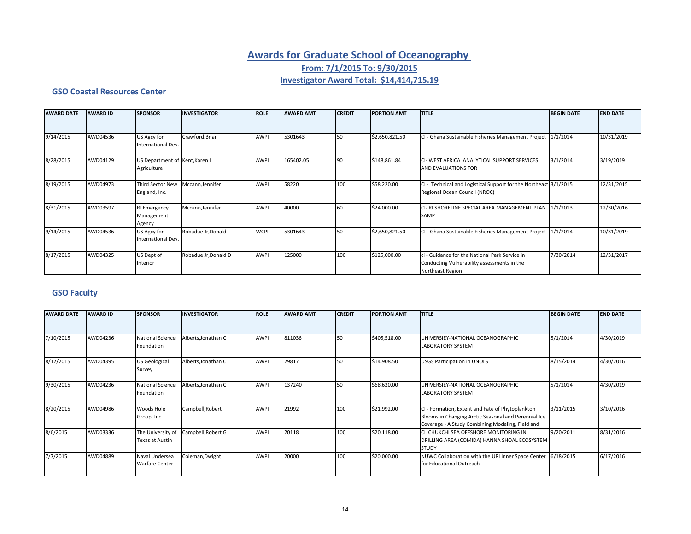# **Awards for Graduate School of Oceanography**

**From: 7/1/2015 To: 9/30/2015**

### **Investigator Award Total: \$14,414,715.19**

#### **GSO Coastal Resources Center**

| <b>AWARD DATE</b> | <b>AWARD ID</b> | <b>SPONSOR</b>                                | <b>INVESTIGATOR</b>  | <b>ROLE</b> | <b>AWARD AMT</b> | <b>CREDIT</b> | <b>PORTION AMT</b> | <b>TITLE</b>                                                                                                      | <b>BEGIN DATE</b> | <b>END DATE</b> |
|-------------------|-----------------|-----------------------------------------------|----------------------|-------------|------------------|---------------|--------------------|-------------------------------------------------------------------------------------------------------------------|-------------------|-----------------|
| 9/14/2015         | AWD04536        | US Agcy for<br>International Dev.             | Crawford, Brian      | <b>AWPI</b> | 5301643          | 50            | \$2,650,821.50     | CI - Ghana Sustainable Fisheries Management Project                                                               | 1/1/2014          | 10/31/2019      |
| 8/28/2015         | AWD04129        | US Department of Kent, Karen L<br>Agriculture |                      | <b>AWPI</b> | 165402.05        | 90            | \$148,861.84       | CI- WEST AFRICA ANALYTICAL SUPPORT SERVICES<br>AND EVALUATIONS FOR                                                | 3/1/2014          | 3/19/2019       |
| 8/19/2015         | AWD04973        | Third Sector New<br>England, Inc.             | Mccann, Jennifer     | <b>AWPI</b> | 58220            | 100           | \$58,220.00        | CI - Technical and Logistical Support for the Northeast 3/1/2015<br>Regional Ocean Council (NROC)                 |                   | 12/31/2015      |
| 8/31/2015         | AWD03597        | <b>RI Emergency</b><br>Management<br>Agency   | Mccann, Jennifer     | <b>AWPI</b> | 40000            | 60            | \$24,000.00        | CI-RI SHORELINE SPECIAL AREA MANAGEMENT PLAN 1/1/2013<br>SAMP                                                     |                   | 12/30/2016      |
| 9/14/2015         | AWD04536        | US Agcy for<br>International Dev.             | Robadue Jr, Donald   | <b>WCPI</b> | 5301643          | 150           | \$2,650,821.50     | CI - Ghana Sustainable Fisheries Management Project 1/1/2014                                                      |                   | 10/31/2019      |
| 8/17/2015         | AWD04325        | US Dept of<br>Interior                        | Robadue Jr, Donald D | <b>AWPI</b> | 125000           | 100           | \$125,000.00       | ci - Guidance for the National Park Service in<br>Conducting Vulnerability assessments in the<br>Northeast Region | 7/30/2014         | 12/31/2017      |

### **GSO Faculty**

| <b>AWARD DATE</b> | <b>AWARD ID</b> | <b>SPONSOR</b>                          | <b>INVESTIGATOR</b> | <b>ROLE</b> | <b>AWARD AMT</b> | <b>CREDIT</b> | <b>PORTION AMT</b> | <b>TITLE</b>                                                                                                                                                 | <b>BEGIN DATE</b> | <b>END DATE</b> |
|-------------------|-----------------|-----------------------------------------|---------------------|-------------|------------------|---------------|--------------------|--------------------------------------------------------------------------------------------------------------------------------------------------------------|-------------------|-----------------|
|                   |                 |                                         |                     |             |                  |               |                    |                                                                                                                                                              |                   |                 |
| 7/10/2015         | AWD04236        | <b>National Science</b><br>Foundation   | Alberts, Jonathan C | AWPI        | 811036           | 50            | \$405,518.00       | UNIVERSIEY-NATIONAL OCEANOGRAPHIC<br><b>LABORATORY SYSTEM</b>                                                                                                | 5/1/2014          | 4/30/2019       |
| 8/12/2015         | AWD04395        | <b>US Geological</b><br>Survey          | Alberts, Jonathan C | AWPI        | 29817            | 50            | \$14,908.50        | <b>USGS Participation in UNOLS</b>                                                                                                                           | 8/15/2014         | 4/30/2016       |
| 9/30/2015         | AWD04236        | <b>National Science</b><br>Foundation   | Alberts, Jonathan C | AWPI        | 137240           | 50            | \$68,620.00        | UNIVERSIEY-NATIONAL OCEANOGRAPHIC<br><b>LABORATORY SYSTEM</b>                                                                                                | 5/1/2014          | 4/30/2019       |
| 8/20/2015         | AWD04986        | Woods Hole<br>Group, Inc.               | Campbell, Robert    | AWPI        | 21992            | 100           | \$21,992.00        | CI - Formation, Extent and Fate of Phytoplankton<br>Blooms in Changing Arctic Seasonal and Perennial Ice<br>Coverage - A Study Combining Modeling, Field and | 3/11/2015         | 3/10/2016       |
| 8/6/2015          | AWD03336        | The University of<br>Texas at Austin    | Campbell, Robert G  | AWPI        | 20118            | 100           | \$20,118.00        | CI CHUKCHI SEA OFFSHORE MONITORING IN<br>DRILLING AREA (COMIDA) HANNA SHOAL ECOSYSTEM<br><b>STUDY</b>                                                        | 9/20/2011         | 8/31/2016       |
| 7/7/2015          | AWD04889        | Naval Undersea<br><b>Warfare Center</b> | Coleman, Dwight     | AWPI        | 20000            | 100           | \$20,000.00        | NUWC Collaboration with the URI Inner Space Center<br>for Educational Outreach                                                                               | 6/18/2015         | 6/17/2016       |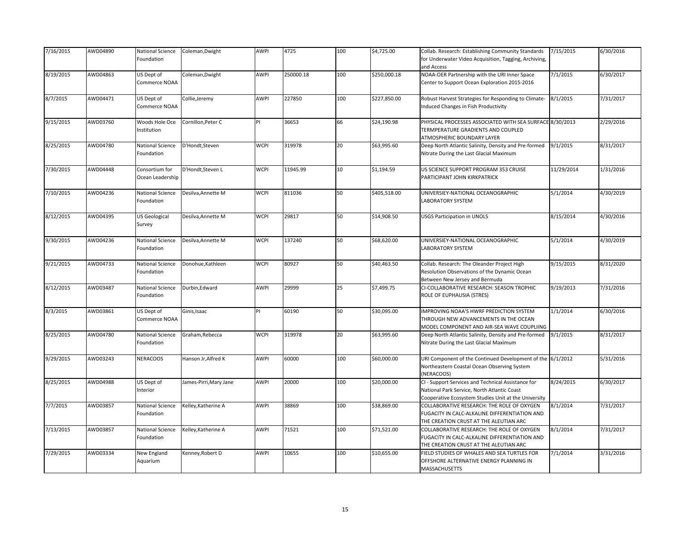| 7/16/2015 | AWD04890 | National Science<br>Foundation     | Coleman, Dwight        | AWPI        | 4725      | 100 | \$4,725.00   | Collab. Research: Establishing Community Standards<br>for Underwater Video Acquisition, Tagging, Archiving,<br>and Access                                 | 7/15/2015  | 6/30/2016 |
|-----------|----------|------------------------------------|------------------------|-------------|-----------|-----|--------------|-----------------------------------------------------------------------------------------------------------------------------------------------------------|------------|-----------|
| 8/19/2015 | AWD04863 | US Dept of<br>Commerce NOAA        | Coleman, Dwight        | AWPI        | 250000.18 | 100 | \$250,000.18 | NOAA-OER Partnership with the URI Inner Space<br>Center to Support Ocean Exploration 2015-2016                                                            | 7/1/2015   | 6/30/2017 |
| 8/7/2015  | AWD04471 | US Dept of<br>Commerce NOAA        | Collie, Jeremy         | <b>AWPI</b> | 227850    | 100 | \$227,850.00 | Robust Harvest Strategies for Responding to Climate-<br>Induced Changes in Fish Productivity                                                              | 8/1/2015   | 7/31/2017 |
| 9/15/2015 | AWD03760 | Woods Hole Oce<br>Institution      | Cornillon, Peter C     | PI          | 36653     | 66  | \$24,190.98  | PHYSICAL PROCESSES ASSOCIATED WITH SEA SURFACE 8/30/2013<br>TERMPERATURE GRADIENTS AND COUPLED<br>ATMOSPHERIC BOUNDARY LAYER                              |            | 2/29/2016 |
| 8/25/2015 | AWD04780 | National Science<br>Foundation     | D'Hondt, Steven        | <b>WCPI</b> | 319978    | 20  | \$63,995.60  | Deep North Atlantic Salinity, Density and Pre-formed<br>Nitrate During the Last Glacial Maximum                                                           | 9/1/2015   | 8/31/2017 |
| 7/30/2015 | AWD04448 | Consortium for<br>Ocean Leadership | D'Hondt, Steven L      | <b>WCPI</b> | 11945.99  | 10  | \$1,194.59   | US SCIENCE SUPPORT PROGRAM 353 CRUISE<br>PARTICIPANT JOHN KIRKPATRICK                                                                                     | 11/29/2014 | 1/31/2016 |
| 7/10/2015 | AWD04236 | National Science<br>Foundation     | Desilva, Annette M     | <b>WCPI</b> | 811036    | 50  | \$405,518.00 | UNIVERSIEY-NATIONAL OCEANOGRAPHIC<br>LABORATORY SYSTEM                                                                                                    | 5/1/2014   | 4/30/2019 |
| 8/12/2015 | AWD04395 | <b>US Geological</b><br>Survey     | Desilva, Annette M     | <b>WCPI</b> | 29817     | 50  | \$14,908.50  | <b>USGS Participation in UNOLS</b>                                                                                                                        | 8/15/2014  | 4/30/2016 |
| 9/30/2015 | AWD04236 | National Science<br>Foundation     | Desilva, Annette M     | <b>WCPI</b> | 137240    | 50  | \$68,620.00  | UNIVERSIEY-NATIONAL OCEANOGRAPHIC<br><b>LABORATORY SYSTEM</b>                                                                                             | 5/1/2014   | 4/30/2019 |
| 9/21/2015 | AWD04733 | National Science<br>Foundation     | Donohue, Kathleen      | <b>WCPI</b> | 80927     | 50  | \$40,463.50  | Collab. Research: The Oleander Project High<br>Resolution Observations of the Dynamic Ocean<br>Between New Jersey and Bermuda                             | 9/15/2015  | 8/31/2020 |
| 8/12/2015 | AWD03487 | National Science<br>Foundation     | Durbin, Edward         | AWPI        | 29999     | 25  | \$7,499.75   | CI-COLLABORATIVE RESEARCH: SEASON TROPHIC<br>ROLE OF EUPHAUSIA (STRES)                                                                                    | 9/19/2013  | 7/31/2016 |
| 8/3/2015  | AWD03861 | US Dept of<br>Commerce NOAA        | Ginis, Isaac           | ΡI          | 60190     | 50  | \$30,095.00  | IMPROVING NOAA'S HWRF PREDICTION SYSTEM<br>THROUGH NEW ADVANCEMENTS IN THE OCEAN<br>MODEL COMPONENT AND AIR-SEA WAVE COUPLIING                            | 1/1/2014   | 6/30/2016 |
| 8/25/2015 | AWD04780 | National Science<br>Foundation     | Graham, Rebecca        | <b>WCPI</b> | 319978    | 20  | \$63,995.60  | Deep North Atlantic Salinity, Density and Pre-formed<br>Nitrate During the Last Glacial Maximum                                                           | 9/1/2015   | 8/31/2017 |
| 9/29/2015 | AWD03243 | NERACOOS                           | Hanson Jr, Alfred K    | AWPI        | 60000     | 100 | \$60,000.00  | URI Component of the Continued Development of the<br>Northeastern Coastal Ocean Observing System<br>(NERACOOS)                                            | 6/1/2012   | 5/31/2016 |
| 8/25/2015 | AWD04988 | US Dept of<br>Interior             | James-Pirri, Mary Jane | AWPI        | 20000     | 100 | \$20,000.00  | CI - Support Services and Technical Assistance for<br>National Park Service, North Atlantic Coast<br>Cooperative Ecosystem Studies Unit at the University | 8/24/2015  | 6/30/2017 |
| 7/7/2015  | AWD03857 | National Science<br>Foundation     | Kelley, Katherine A    | AWPI        | 38869     | 100 | \$38,869.00  | COLLABORATIVE RESEARCH: THE ROLE OF OXYGEN<br>FUGACITY IN CALC-ALKALINE DIFFERENTIATION AND<br>THE CREATION CRUST AT THE ALEUTIAN ARC                     | 8/1/2014   | 7/31/2017 |
| 7/13/2015 | AWD03857 | National Science<br>Foundation     | Kelley, Katherine A    | AWPI        | 71521     | 100 | \$71,521.00  | COLLABORATIVE RESEARCH: THE ROLE OF OXYGEN<br>FUGACITY IN CALC-ALKALINE DIFFERENTIATION AND<br>THE CREATION CRUST AT THE ALEUTIAN ARC                     | 8/1/2014   | 7/31/2017 |
| 7/29/2015 | AWD03334 | New England<br>Aquarium            | Kenney, Robert D       | <b>AWPI</b> | 10655     | 100 | \$10,655.00  | FIELD STUDIES OF WHALES AND SEA TURTLES FOR<br>OFFSHORE ALTERNATIVE ENERGY PLANNING IN<br><b>MASSACHUSETTS</b>                                            | 7/1/2014   | 3/31/2016 |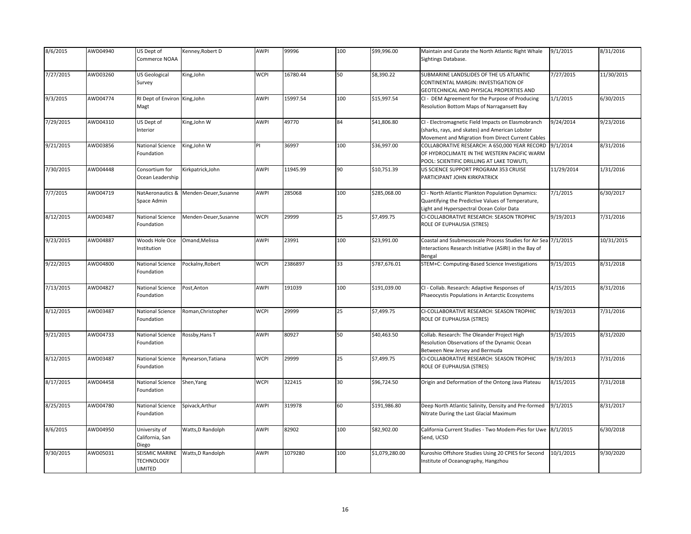| 8/6/2015  | AWD04940 | US Dept of<br>Commerce NOAA                           | Kenney, Robert D                       | AWPI        | 99996    | 100 | \$99,996.00    | Maintain and Curate the North Atlantic Right Whale<br>Sightings Database.                                                                                  | 9/1/2015   | 8/31/2016  |
|-----------|----------|-------------------------------------------------------|----------------------------------------|-------------|----------|-----|----------------|------------------------------------------------------------------------------------------------------------------------------------------------------------|------------|------------|
| 7/27/2015 | AWD03260 | US Geological<br>Survey                               | King, John                             | <b>WCPI</b> | 16780.44 | 50  | \$8,390.22     | SUBMARINE LANDSLIDES OF THE US ATLANTIC<br>CONTINENTAL MARGIN: INVESTIGATION OF<br>GEOTECHNICAL AND PHYSICAL PROPERTIES AND                                | 7/27/2015  | 11/30/2015 |
| 9/3/2015  | AWD04774 | RI Dept of Environ King, John<br>Magt                 |                                        | <b>AWPI</b> | 15997.54 | 100 | \$15,997.54    | CI - DEM Agreement for the Purpose of Producing<br>Resolution Bottom Maps of Narragansett Bay                                                              | 1/1/2015   | 6/30/2015  |
| 7/29/2015 | AWD04310 | US Dept of<br>Interior                                | King, John W                           | <b>AWPI</b> | 49770    | 84  | \$41,806.80    | CI - Electromagnetic Field Impacts on Elasmobranch<br>(sharks, rays, and skates) and American Lobster<br>Movement and Migration from Direct Current Cables | 9/24/2014  | 9/23/2016  |
| 9/21/2015 | AWD03856 | National Science<br>Foundation                        | King, John W                           | PI          | 36997    | 100 | \$36,997.00    | COLLABORATIVE RESEARCH: A 650,000 YEAR RECORD<br>OF HYDROCLIMATE IN THE WESTERN PACIFIC WARM<br>POOL: SCIENTIFIC DRILLING AT LAKE TOWUTI,                  | 9/1/2014   | 8/31/2016  |
| 7/30/2015 | AWD04448 | Consortium for<br>Ocean Leadership                    | Kirkpatrick, John                      | AWPI        | 11945.99 | 90  | \$10,751.39    | US SCIENCE SUPPORT PROGRAM 353 CRUISE<br>PARTICIPANT JOHN KIRKPATRICK                                                                                      | 11/29/2014 | 1/31/2016  |
| 7/7/2015  | AWD04719 | Space Admin                                           | NatAeronautics & Menden-Deuer, Susanne | <b>AWPI</b> | 285068   | 100 | \$285,068.00   | CI - North Atlantic Plankton Population Dynamics:<br>Quantifying the Predictive Values of Temperature,<br>Light and Hyperspectral Ocean Color Data         | 7/1/2015   | 6/30/2017  |
| 8/12/2015 | AWD03487 | National Science<br>Foundation                        | Menden-Deuer,Susanne                   | <b>WCPI</b> | 29999    | 25  | \$7,499.75     | CI-COLLABORATIVE RESEARCH: SEASON TROPHIC<br>ROLE OF EUPHAUSIA (STRES)                                                                                     | 9/19/2013  | 7/31/2016  |
| 9/23/2015 | AWD04887 | Woods Hole Oce<br>Institution                         | Omand, Melissa                         | AWPI        | 23991    | 100 | \$23,991.00    | Coastal and Ssubmesoscale Process Studies for Air Sea 7/1/2015<br>Interactions Research Initiative (ASIRI) in the Bay of<br>Bengal                         |            | 10/31/2015 |
| 9/22/2015 | AWD04800 | National Science<br>Foundation                        | Pockalny, Robert                       | <b>WCPI</b> | 2386897  | 33  | \$787,676.01   | STEM+C: Computing-Based Science Investigations                                                                                                             | 9/15/2015  | 8/31/2018  |
| 7/13/2015 | AWD04827 | National Science<br>Foundation                        | Post, Anton                            | AWPI        | 191039   | 100 | \$191,039.00   | CI - Collab. Research: Adaptive Responses of<br>Phaeocystis Populations in Antarctic Ecosystems                                                            | 4/15/2015  | 8/31/2016  |
| 8/12/2015 | AWD03487 | National Science<br>Foundation                        | Roman, Christopher                     | <b>WCPI</b> | 29999    | 25  | \$7,499.75     | CI-COLLABORATIVE RESEARCH: SEASON TROPHIC<br>ROLE OF EUPHAUSIA (STRES)                                                                                     | 9/19/2013  | 7/31/2016  |
| 9/21/2015 | AWD04733 | National Science<br>Foundation                        | Rossby, Hans T                         | <b>AWPI</b> | 80927    | 50  | \$40,463.50    | Collab. Research: The Oleander Project High<br>Resolution Observations of the Dynamic Ocean<br>Between New Jersey and Bermuda                              | 9/15/2015  | 8/31/2020  |
| 8/12/2015 | AWD03487 | National Science<br>Foundation                        | Rynearson, Tatiana                     | <b>WCPI</b> | 29999    | 25  | \$7,499.75     | CI-COLLABORATIVE RESEARCH: SEASON TROPHIC<br>ROLE OF EUPHAUSIA (STRES)                                                                                     | 9/19/2013  | 7/31/2016  |
| 8/17/2015 | AWD04458 | National Science<br>Foundation                        | Shen, Yang                             | <b>WCPI</b> | 322415   | 30  | \$96,724.50    | Origin and Deformation of the Ontong Java Plateau                                                                                                          | 8/15/2015  | 7/31/2018  |
| 8/25/2015 | AWD04780 | National Science<br>Foundation                        | Spivack, Arthur                        | AWPI        | 319978   | 60  | \$191,986.80   | Deep North Atlantic Salinity, Density and Pre-formed<br>Nitrate During the Last Glacial Maximum                                                            | 9/1/2015   | 8/31/2017  |
| 8/6/2015  | AWD04950 | University of<br>California, San<br>Diego             | Watts, D Randolph                      | AWPI        | 82902    | 100 | \$82,902.00    | California Current Studies - Two Modem-Pies for Uwe<br>Send, UCSD                                                                                          | 8/1/2015   | 6/30/2018  |
| 9/30/2015 | AWD05031 | <b>SEISMIC MARINE</b><br><b>TECHNOLOGY</b><br>LIMITED | Watts, D Randolph                      | <b>AWPI</b> | 1079280  | 100 | \$1,079,280.00 | Kuroshio Offshore Studies Using 20 CPIES for Second<br>Institute of Oceanography, Hangzhou                                                                 | 10/1/2015  | 9/30/2020  |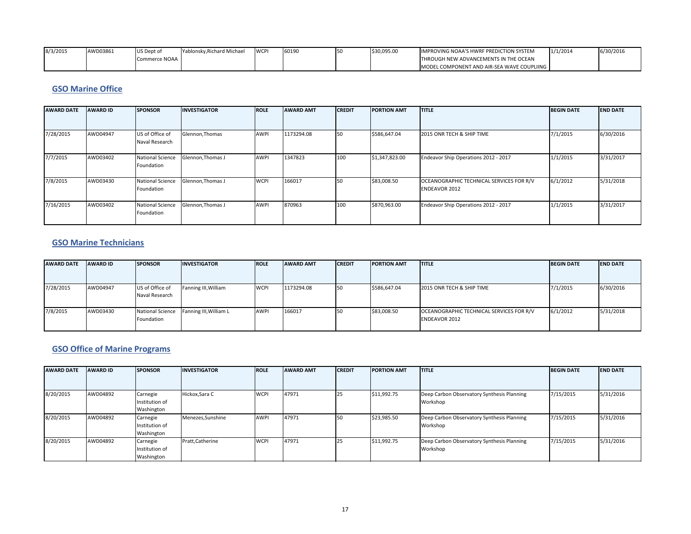| 8/3/2015 | AWD03861 | US Dept of    | Yablonsky.Richard Michael | <b>WCP</b> | 60190 | \$30,095.00 | IMPROVING NOAA'S HWRF PREDICTION SYSTEM    | 1/1/2014 | 6/30/2016 |
|----------|----------|---------------|---------------------------|------------|-------|-------------|--------------------------------------------|----------|-----------|
|          |          | Commerce NOAA |                           |            |       |             | THROUGH NEW ADVANCEMENTS IN THE OCEAN      |          |           |
|          |          |               |                           |            |       |             | MODEL COMPONENT AND AIR-SEA WAVE COUPLIING |          |           |

#### **GSO Marine Office**

| <b>AWARD DATE</b> | <b>AWARD ID</b> | <b>SPONSOR</b>                        | <b>INVESTIGATOR</b> | <b>ROLE</b> | <b>AWARD AMT</b> | <b>CREDIT</b> | <b>PORTION AMT</b> | <b>ITITLE</b>                                                    | <b>BEGIN DATE</b> | <b>END DATE</b> |
|-------------------|-----------------|---------------------------------------|---------------------|-------------|------------------|---------------|--------------------|------------------------------------------------------------------|-------------------|-----------------|
| 7/28/2015         | AWD04947        | US of Office of                       | Glennon, Thomas     | <b>AWPI</b> | 1173294.08       | 150           | \$586,647.04       | 2015 ONR TECH & SHIP TIME                                        | 7/1/2015          | 6/30/2016       |
|                   |                 | Naval Research                        |                     |             |                  |               |                    |                                                                  |                   |                 |
| 7/7/2015          | AWD03402        | <b>National Science</b><br>Foundation | Glennon, Thomas J   | <b>AWPI</b> | 1347823          | 100           | \$1,347,823.00     | Endeavor Ship Operations 2012 - 2017                             | 1/1/2015          | 3/31/2017       |
| 7/8/2015          | AWD03430        | <b>National Science</b><br>Foundation | Glennon, Thomas J   | <b>WCPI</b> | 166017           | 50            | \$83,008.50        | OCEANOGRAPHIC TECHNICAL SERVICES FOR R/V<br><b>ENDEAVOR 2012</b> | 6/1/2012          | 5/31/2018       |
| 7/16/2015         | AWD03402        | <b>National Science</b><br>Foundation | Glennon, Thomas J   | <b>AWPI</b> | 870963           | 100           | \$870,963.00       | Endeavor Ship Operations 2012 - 2017                             | 1/1/2015          | 3/31/2017       |

### **GSO Marine Technicians**

| <b>AWARD DATE</b> | <b>AWARD ID</b> | <b>SPONSOR</b>                        | <b>INVESTIGATOR</b>    | <b>ROLE</b> | <b>AWARD AMT</b> | <b>CREDIT</b> | <b>PORTION AMT</b> | <b>ITITLE</b>                                                    | <b>BEGIN DATE</b> | <b>END DATE</b> |
|-------------------|-----------------|---------------------------------------|------------------------|-------------|------------------|---------------|--------------------|------------------------------------------------------------------|-------------------|-----------------|
| 7/28/2015         | AWD04947        | US of Office of<br>Naval Research     | Fanning III, William   | <b>WCPI</b> | 1173294.08       | <b>ISO</b>    | \$586,647.04       | 2015 ONR TECH & SHIP TIME                                        | 7/1/2015          | 6/30/2016       |
| 7/8/2015          | AWD03430        | <b>National Science</b><br>Foundation | Fanning III, William L | AWPI        | 166017           | <b>1</b> 50   | \$83,008.50        | OCEANOGRAPHIC TECHNICAL SERVICES FOR R/V<br><b>ENDEAVOR 2012</b> | 6/1/2012          | 5/31/2018       |

#### **GSO Office of Marine Programs**

| <b>AWARD DATE</b> | <b>AWARD ID</b> | <b>SPONSOR</b>                           | <b>INVESTIGATOR</b> | <b>ROLE</b> | <b>AWARD AMT</b> | <b>CREDIT</b> | <b>PORTION AMT</b> | <b>ITITLE</b>                                          | <b>BEGIN DATE</b> | <b>END DATE</b> |
|-------------------|-----------------|------------------------------------------|---------------------|-------------|------------------|---------------|--------------------|--------------------------------------------------------|-------------------|-----------------|
|                   |                 |                                          |                     |             |                  |               |                    |                                                        |                   |                 |
| 8/20/2015         | AWD04892        | Carnegie<br>Institution of<br>Washington | Hickox, Sara C      | <b>WCPI</b> | 47971            | 25            | \$11,992.75        | Deep Carbon Observatory Synthesis Planning<br>Workshop | 7/15/2015         | 5/31/2016       |
| 8/20/2015         | AWD04892        | Carnegie<br>Institution of<br>Washington | Menezes, Sunshine   | <b>AWPI</b> | 47971            | 150           | \$23,985.50        | Deep Carbon Observatory Synthesis Planning<br>Workshop | 7/15/2015         | 5/31/2016       |
| 8/20/2015         | AWD04892        | Carnegie<br>Institution of<br>Washington | Pratt, Catherine    | <b>WCPI</b> | 47971            | 125           | \$11,992.75        | Deep Carbon Observatory Synthesis Planning<br>Workshop | 7/15/2015         | 5/31/2016       |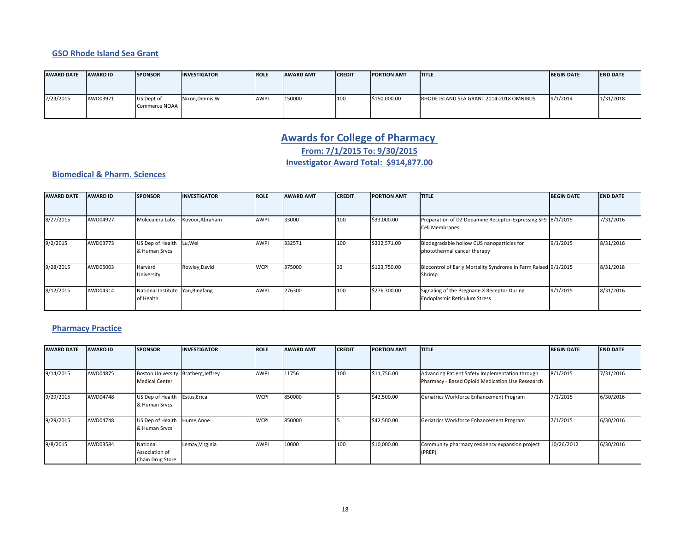#### **GSO Rhode Island Sea Grant**

| <b>AWARD DATE</b> | <b>AWARD ID</b> | <b>SPONSOR</b>              | <b>INVESTIGATOR</b> | <b>IROLE</b> | <b>AWARD AMT</b> | <b>CREDIT</b> | <b>PORTION AMT</b> | <b>ITITLE</b>                            | <b>BEGIN DATE</b> | <b>IEND DATE</b> |
|-------------------|-----------------|-----------------------------|---------------------|--------------|------------------|---------------|--------------------|------------------------------------------|-------------------|------------------|
|                   |                 |                             |                     |              |                  |               |                    |                                          |                   |                  |
| 7/23/2015         | AWD03971        | US Dept of<br>Commerce NOAA | Nixon, Dennis W     | <b>AWPI</b>  | 150000           | 100           | \$150,000.00       | RHODE ISLAND SEA GRANT 2014-2018 OMNIBUS | 9/1/2014          | 1/31/2018        |

# **Awards for College of Pharmacy From: 7/1/2015 To: 9/30/2015**

### **Investigator Award Total: \$914,877.00**

#### **Biomedical & Pharm. Sciences**

| <b>AWARD DATE</b> | <b>AWARD ID</b> | <b>SPONSOR</b>                                | <b>INVESTIGATOR</b> | <b>ROLE</b> | <b>AWARD AMT</b> | <b>CREDIT</b> | <b>PORTION AMT</b> | <b>ITITLE</b>                                                                        | <b>BEGIN DATE</b> | <b>END DATE</b> |
|-------------------|-----------------|-----------------------------------------------|---------------------|-------------|------------------|---------------|--------------------|--------------------------------------------------------------------------------------|-------------------|-----------------|
|                   |                 |                                               |                     |             |                  |               |                    |                                                                                      |                   |                 |
| 8/27/2015         | AWD04927        | Moleculera Labs                               | Kovoor, Abraham     | <b>AWPI</b> | 33000            | 100           | \$33,000.00        | Preparation of D2 Dopamine Receptor-Expressing SF9 8/1/2015<br><b>Cell Membranes</b> |                   | 7/31/2016       |
| 9/2/2015          | AWD03773        | US Dep of Health Lu, Wei<br>& Human Srvcs     |                     | <b>AWPI</b> | 332571           | 100           | \$332,571.00       | Biodegradable hollow CUS nanoparticles for<br>photothermal cancer therapy            | 9/1/2015          | 8/31/2016       |
| 9/28/2015         | AWD05003        | Harvard<br>University                         | Rowley, David       | <b>WCPI</b> | 375000           | 33            | \$123,750.00       | Biocontrol of Early Mortality Syndrome in Farm Raised 9/1/2015<br>Shrimp             |                   | 8/31/2018       |
| 8/12/2015         | AWD04314        | National Institute Yan, Bingfang<br>of Health |                     | <b>AWPI</b> | 276300           | 100           | \$276,300.00       | Signaling of the Pregnane X Receptor During<br><b>Endoplasmic Reticulum Stress</b>   | 9/1/2015          | 8/31/2016       |

# **Pharmacy Practice**

| <b>AWARD DATE</b> | <b>AWARD ID</b> | <b>SPONSOR</b>                                               | <b>INVESTIGATOR</b> | <b>ROLE</b> | <b>AWARD AMT</b> | <b>CREDIT</b> | <b>PORTION AMT</b> | <b>ITITLE</b>                                                                                       | <b>BEGIN DATE</b> | <b>END DATE</b> |
|-------------------|-----------------|--------------------------------------------------------------|---------------------|-------------|------------------|---------------|--------------------|-----------------------------------------------------------------------------------------------------|-------------------|-----------------|
|                   |                 |                                                              |                     |             |                  |               |                    |                                                                                                     |                   |                 |
| 9/14/2015         | AWD04875        | Boston University Bratberg, Jeffrey<br><b>Medical Center</b> |                     | AWPI        | 11756            | 100           | \$11,756.00        | Advancing Patient Safety Implementation through<br>Pharmacy - Based Opioid Medication Use Reseaarch | 8/1/2015          | 7/31/2016       |
| 9/29/2015         | AWD04748        | US Dep of Health<br>& Human Srvcs                            | Estus, Erica        | <b>WCPI</b> | 850000           |               | \$42,500.00        | Geriatrics Workforce Enhancement Program                                                            | 7/1/2015          | 6/30/2016       |
| 9/29/2015         | AWD04748        | US Dep of Health<br>& Human Srvcs                            | Hume, Anne          | <b>WCPI</b> | 850000           |               | \$42,500.00        | Geriatrics Workforce Enhancement Program                                                            | 7/1/2015          | 6/30/2016       |
| 9/8/2015          | AWD03584        | National<br>Association of<br>Chain Drug Store               | Lemay, Virginia     | AWPI        | 10000            | 100           | \$10,000.00        | Community pharmacy residency expansion project<br>(PREP)                                            | 10/26/2012        | 6/30/2016       |